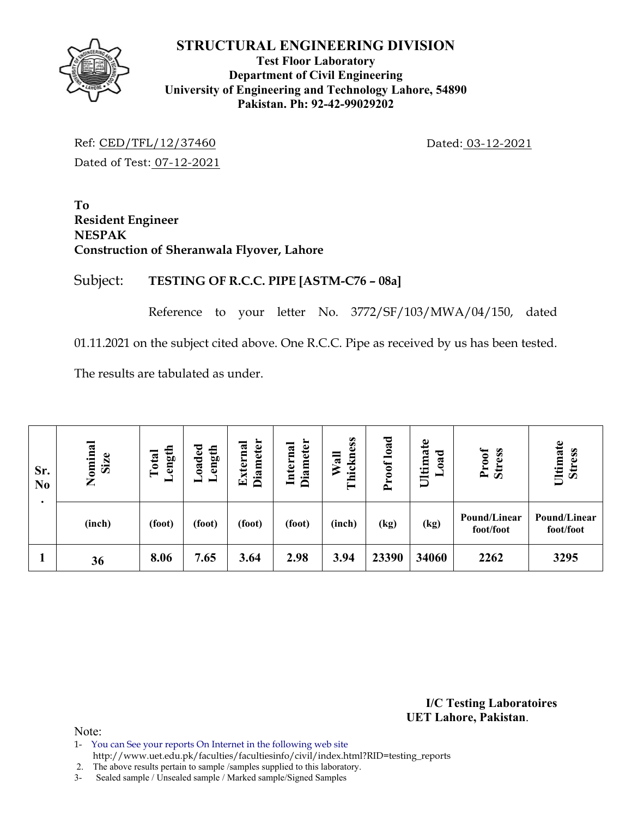

#### **Test Floor Laboratory Department of Civil Engineering University of Engineering and Technology Lahore, 54890 Pakistan. Ph: 92-42-99029202**

Ref: CED/TFL/12/37460 Dated: 03-12-2021 Dated of Test: 07-12-2021

**To Resident Engineer NESPAK Construction of Sheranwala Flyover, Lahore** 

# Subject: **TESTING OF R.C.C. PIPE [ASTM-C76 – 08a]**

Reference to your letter No. 3772/SF/103/MWA/04/150, dated

01.11.2021 on the subject cited above. One R.C.C. Pipe as received by us has been tested.

The results are tabulated as under.

| Sr.<br>N <sub>0</sub> | Nominal<br>Size | ength<br>Total<br>━ | oaded<br>ength<br>- | <b>Diameter</b><br>Externa | <b>Diameter</b><br>Internal | Thickness<br>Wall | Proof load | Ultimate<br>ರ<br>$\bf{a}$<br>╾ | Proof<br><b>Stress</b>    | Ultimate<br><b>Stress</b> |
|-----------------------|-----------------|---------------------|---------------------|----------------------------|-----------------------------|-------------------|------------|--------------------------------|---------------------------|---------------------------|
|                       | (inch)          | (foot)              | (foot)              | (foot)                     | (foot)                      | (inch)            | (kg)       | (kg)                           | Pound/Linear<br>foot/foot | Pound/Linear<br>foot/foot |
|                       | 36              | 8.06                | 7.65                | 3.64                       | 2.98                        | 3.94              | 23390      | 34060                          | 2262                      | 3295                      |

**I/C Testing Laboratoires UET Lahore, Pakistan**.

Note:

1- You can See your reports On Internet in the following web site

http://www.uet.edu.pk/faculties/facultiesinfo/civil/index.html?RID=testing\_reports

2. The above results pertain to sample /samples supplied to this laboratory.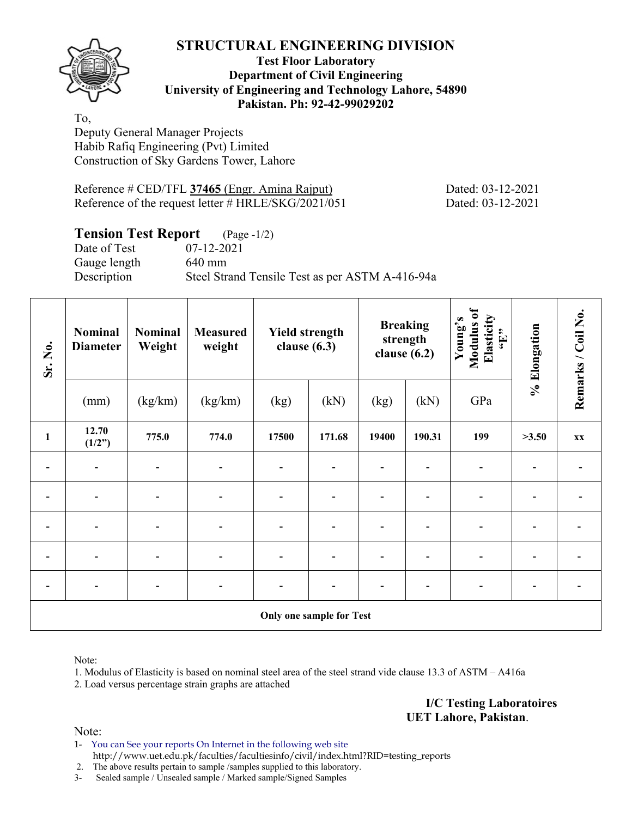

#### **Test Floor Laboratory Department of Civil Engineering University of Engineering and Technology Lahore, 54890 Pakistan. Ph: 92-42-99029202**

To, Deputy General Manager Projects Habib Rafiq Engineering (Pvt) Limited Construction of Sky Gardens Tower, Lahore

Reference # CED/TFL **37465** (Engr. Amina Rajput) Dated: 03-12-2021 Reference of the request letter # HRLE/SKG/2021/051 Dated: 03-12-2021

# **Tension Test Report** (Page -1/2)

Date of Test 07-12-2021 Gauge length 640 mm

Description Steel Strand Tensile Test as per ASTM A-416-94a

| Sr. No.        | Nominal<br><b>Diameter</b> | Nominal<br>Weight | <b>Measured</b><br>weight | <b>Yield strength</b><br>clause $(6.3)$ |                          |       | <b>Breaking</b><br>strength<br>clause $(6.2)$ | Modulus of<br>Elasticity<br>Young's<br>$\epsilon_{\rm H},$ | % Elongation | Remarks / Coil No. |
|----------------|----------------------------|-------------------|---------------------------|-----------------------------------------|--------------------------|-------|-----------------------------------------------|------------------------------------------------------------|--------------|--------------------|
|                | (mm)                       | (kg/km)           | (kg/km)                   | (kg)                                    | (kN)                     | (kg)  | (kN)                                          | GPa                                                        |              |                    |
| $\mathbf{1}$   | 12.70<br>(1/2")            | 775.0             | 774.0                     | 17500                                   | 171.68                   | 19400 | 190.31                                        | 199                                                        | >3.50        | XX                 |
|                |                            |                   |                           |                                         |                          |       |                                               |                                                            |              |                    |
| ۰              | $\overline{\phantom{a}}$   | $\blacksquare$    | $\overline{\phantom{0}}$  | $\qquad \qquad \blacksquare$            |                          |       |                                               |                                                            |              |                    |
| $\overline{a}$ | $\overline{\phantom{a}}$   |                   |                           | $\qquad \qquad \blacksquare$            |                          |       |                                               |                                                            |              |                    |
|                |                            |                   |                           |                                         |                          |       |                                               |                                                            |              |                    |
|                | $\overline{\phantom{0}}$   |                   |                           |                                         |                          |       |                                               |                                                            |              |                    |
|                |                            |                   |                           |                                         | Only one sample for Test |       |                                               |                                                            |              |                    |

Note:

1. Modulus of Elasticity is based on nominal steel area of the steel strand vide clause 13.3 of ASTM – A416a

2. Load versus percentage strain graphs are attached

**I/C Testing Laboratoires UET Lahore, Pakistan**.

Note:

1- You can See your reports On Internet in the following web site http://www.uet.edu.pk/faculties/facultiesinfo/civil/index.html?RID=testing\_reports

2. The above results pertain to sample /samples supplied to this laboratory.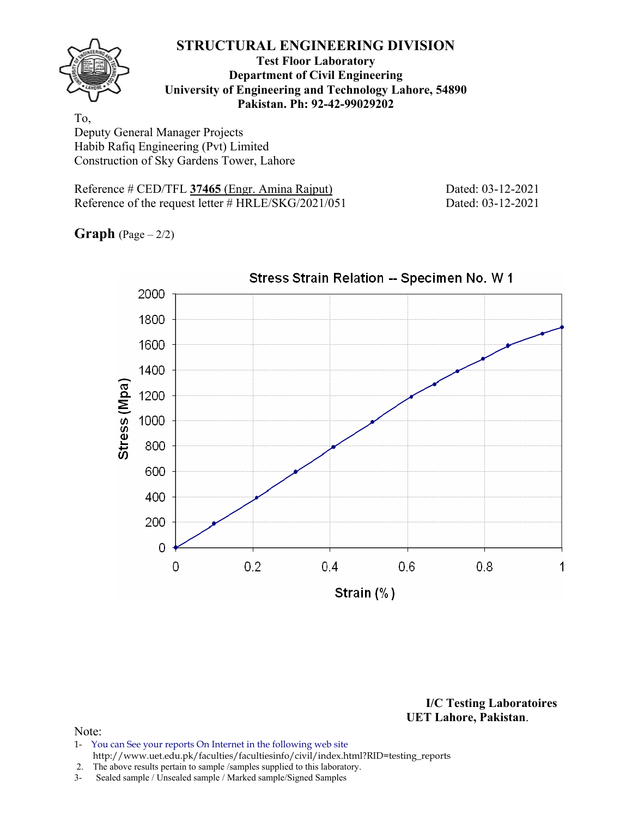

#### **Test Floor Laboratory Department of Civil Engineering University of Engineering and Technology Lahore, 54890 Pakistan. Ph: 92-42-99029202**

To, Deputy General Manager Projects Habib Rafiq Engineering (Pvt) Limited Construction of Sky Gardens Tower, Lahore

Reference # CED/TFL **37465** (Engr. Amina Rajput) Dated: 03-12-2021 Reference of the request letter # HRLE/SKG/2021/051 Dated: 03-12-2021

**Graph**  $(Page - 2/2)$ 



Stress Strain Relation -- Specimen No. W 1

**I/C Testing Laboratoires UET Lahore, Pakistan**.

- 1- You can See your reports On Internet in the following web site http://www.uet.edu.pk/faculties/facultiesinfo/civil/index.html?RID=testing\_reports
- 2. The above results pertain to sample /samples supplied to this laboratory.
- 3- Sealed sample / Unsealed sample / Marked sample/Signed Samples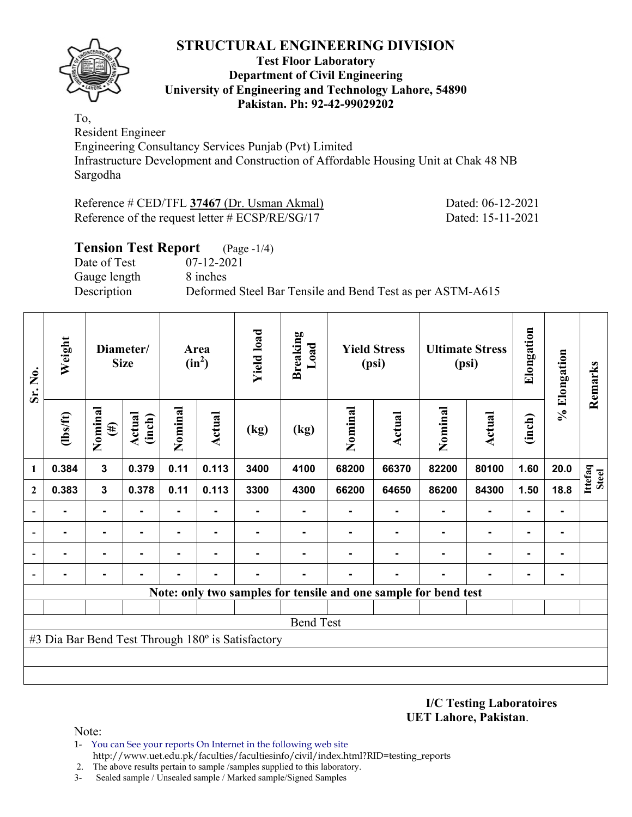

#### **Test Floor Laboratory Department of Civil Engineering University of Engineering and Technology Lahore, 54890 Pakistan. Ph: 92-42-99029202**

To, Resident Engineer

Engineering Consultancy Services Punjab (Pvt) Limited Infrastructure Development and Construction of Affordable Housing Unit at Chak 48 NB Sargodha

Reference # CED/TFL **37467** (Dr. Usman Akmal) Dated: 06-12-2021 Reference of the request letter # ECSP/RE/SG/17 Dated: 15-11-2021

## **Tension Test Report** (Page -1/4) Date of Test 07-12-2021 Gauge length 8 inches Description Deformed Steel Bar Tensile and Bend Test as per ASTM-A615

| Sr. No.                  | Weight         |                   | Diameter/<br><b>Size</b> |                | Area<br>$(in^2)$ | <b>Yield load</b>                                 | <b>Breaking</b><br>Load |         | <b>Yield Stress</b><br>(psi)                                    |         | <b>Ultimate Stress</b><br>(psi) | Elongation     | % Elongation   | Remarks                 |
|--------------------------|----------------|-------------------|--------------------------|----------------|------------------|---------------------------------------------------|-------------------------|---------|-----------------------------------------------------------------|---------|---------------------------------|----------------|----------------|-------------------------|
|                          | $\frac{2}{10}$ | Nominal<br>$(\#)$ | <b>Actual</b><br>(inch)  | Nominal        | Actual           | (kg)                                              | (kg)                    | Nominal | <b>Actual</b>                                                   | Nominal | <b>Actual</b>                   | (inch)         |                |                         |
| 1                        | 0.384          | $\mathbf{3}$      | 0.379                    | 0.11           | 0.113            | 3400                                              | 4100                    | 68200   | 66370                                                           | 82200   | 80100                           | 1.60           | 20.0           | Ittefaq<br><b>Steel</b> |
| $\overline{2}$           | 0.383          | 3                 | 0.378                    | 0.11           | 0.113            | 3300                                              | 4300                    | 66200   | 64650                                                           | 86200   | 84300                           | 1.50           | 18.8           |                         |
|                          |                | $\blacksquare$    |                          | ۰              | ۰                |                                                   | ۰                       | ٠       |                                                                 | ۰       | $\blacksquare$                  | ۰              |                |                         |
|                          |                | $\blacksquare$    | $\blacksquare$           | $\blacksquare$ | ۰                |                                                   | ۰                       | ٠       |                                                                 |         | $\blacksquare$                  | $\blacksquare$ | $\blacksquare$ |                         |
|                          |                |                   |                          |                | $\blacksquare$   |                                                   |                         |         |                                                                 |         | $\blacksquare$                  | ۰              |                |                         |
| $\overline{\phantom{a}}$ |                |                   |                          |                |                  |                                                   |                         |         |                                                                 |         |                                 | ۰              |                |                         |
|                          |                |                   |                          |                |                  |                                                   |                         |         | Note: only two samples for tensile and one sample for bend test |         |                                 |                |                |                         |
|                          |                |                   |                          |                |                  |                                                   |                         |         |                                                                 |         |                                 |                |                |                         |
|                          |                |                   |                          |                |                  |                                                   | <b>Bend Test</b>        |         |                                                                 |         |                                 |                |                |                         |
|                          |                |                   |                          |                |                  | #3 Dia Bar Bend Test Through 180° is Satisfactory |                         |         |                                                                 |         |                                 |                |                |                         |
|                          |                |                   |                          |                |                  |                                                   |                         |         |                                                                 |         |                                 |                |                |                         |
|                          |                |                   |                          |                |                  |                                                   |                         |         |                                                                 |         |                                 |                |                |                         |

**I/C Testing Laboratoires UET Lahore, Pakistan**.

- 1- You can See your reports On Internet in the following web site http://www.uet.edu.pk/faculties/facultiesinfo/civil/index.html?RID=testing\_reports
- 2. The above results pertain to sample /samples supplied to this laboratory.
- 3- Sealed sample / Unsealed sample / Marked sample/Signed Samples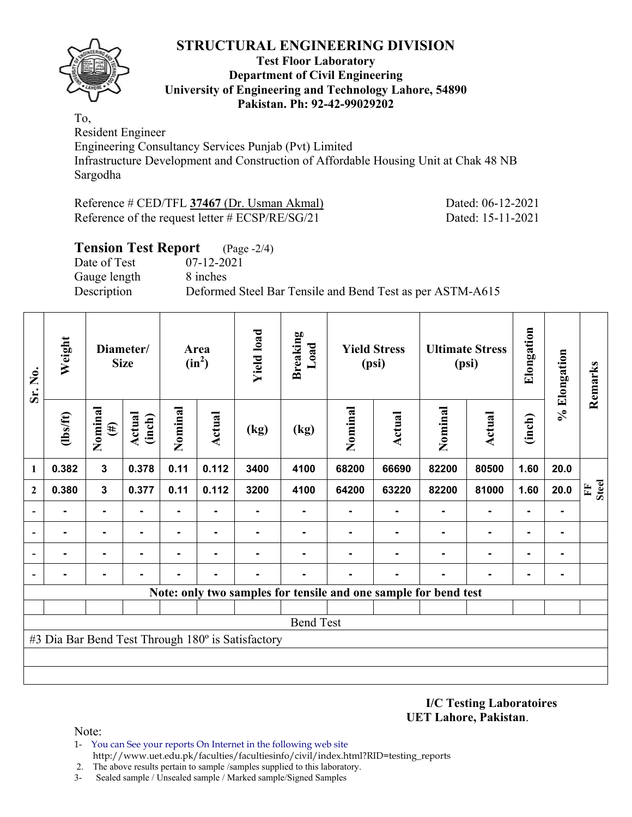

#### **Test Floor Laboratory Department of Civil Engineering University of Engineering and Technology Lahore, 54890 Pakistan. Ph: 92-42-99029202**

To, Resident Engineer

Engineering Consultancy Services Punjab (Pvt) Limited Infrastructure Development and Construction of Affordable Housing Unit at Chak 48 NB Sargodha

Reference # CED/TFL **37467** (Dr. Usman Akmal) Dated: 06-12-2021 Reference of the request letter # ECSP/RE/SG/21 Dated: 15-11-2021

## **Tension Test Report** (Page -2/4) Date of Test 07-12-2021 Gauge length 8 inches Description Deformed Steel Bar Tensile and Bend Test as per ASTM-A615

| Sr. No.                  | Weight         |                   | Diameter/<br><b>Size</b> |                | Area<br>$(in^2)$ | <b>Yield load</b>                                 | <b>Breaking</b><br>Load |                                                                 | <b>Yield Stress</b><br>(psi) |         | <b>Ultimate Stress</b><br>(psi) | Elongation | % Elongation | Remarks           |
|--------------------------|----------------|-------------------|--------------------------|----------------|------------------|---------------------------------------------------|-------------------------|-----------------------------------------------------------------|------------------------------|---------|---------------------------------|------------|--------------|-------------------|
|                          | $\frac{2}{10}$ | Nominal<br>$(\#)$ | <b>Actual</b><br>(inch)  | Nominal        | Actual           | (kg)                                              | (kg)                    | Nominal                                                         | Actual                       | Nominal | <b>Actual</b>                   | (inch)     |              |                   |
| 1                        | 0.382          | $\mathbf{3}$      | 0.378                    | 0.11           | 0.112            | 3400                                              | 4100                    | 68200                                                           | 66690                        | 82200   | 80500                           | 1.60       | 20.0         |                   |
| $\mathbf{2}$             | 0.380          | $\mathbf{3}$      | 0.377                    | 0.11           | 0.112            | 3200                                              | 4100                    | 64200                                                           | 63220                        | 82200   | 81000                           | 1.60       | 20.0         | <b>Steel</b><br>E |
|                          |                | $\blacksquare$    | $\blacksquare$           | $\blacksquare$ |                  | $\blacksquare$                                    |                         |                                                                 | Ξ.                           |         | $\blacksquare$                  |            | ۰            |                   |
|                          |                | ٠                 | -                        |                |                  |                                                   |                         |                                                                 |                              |         |                                 |            | ۰            |                   |
|                          |                |                   |                          |                |                  |                                                   |                         |                                                                 |                              |         |                                 |            | -            |                   |
| $\overline{\phantom{a}}$ |                |                   |                          |                |                  |                                                   |                         |                                                                 |                              |         |                                 |            | ۰.           |                   |
|                          |                |                   |                          |                |                  |                                                   |                         | Note: only two samples for tensile and one sample for bend test |                              |         |                                 |            |              |                   |
|                          |                |                   |                          |                |                  |                                                   |                         |                                                                 |                              |         |                                 |            |              |                   |
|                          |                |                   |                          |                |                  |                                                   | <b>Bend Test</b>        |                                                                 |                              |         |                                 |            |              |                   |
|                          |                |                   |                          |                |                  | #3 Dia Bar Bend Test Through 180° is Satisfactory |                         |                                                                 |                              |         |                                 |            |              |                   |
|                          |                |                   |                          |                |                  |                                                   |                         |                                                                 |                              |         |                                 |            |              |                   |
|                          |                |                   |                          |                |                  |                                                   |                         |                                                                 |                              |         |                                 |            |              |                   |

**I/C Testing Laboratoires UET Lahore, Pakistan**.

- 1- You can See your reports On Internet in the following web site http://www.uet.edu.pk/faculties/facultiesinfo/civil/index.html?RID=testing\_reports
- 2. The above results pertain to sample /samples supplied to this laboratory.
- 3- Sealed sample / Unsealed sample / Marked sample/Signed Samples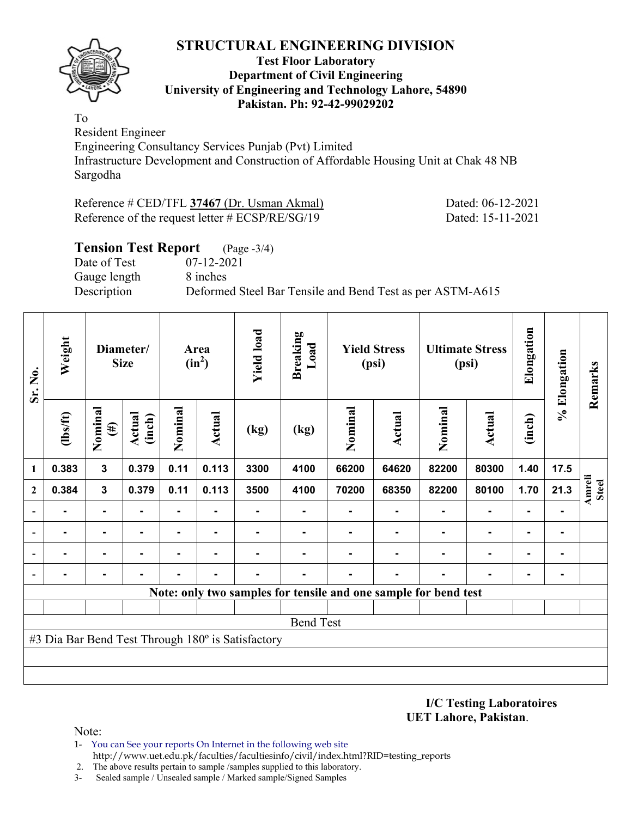

#### **Test Floor Laboratory Department of Civil Engineering University of Engineering and Technology Lahore, 54890 Pakistan. Ph: 92-42-99029202**

To Resident Engineer

Engineering Consultancy Services Punjab (Pvt) Limited Infrastructure Development and Construction of Affordable Housing Unit at Chak 48 NB Sargodha

Reference # CED/TFL **37467** (Dr. Usman Akmal) Dated: 06-12-2021 Reference of the request letter # ECSP/RE/SG/19 Dated: 15-11-2021

# **Tension Test Report** (Page -3/4) Date of Test 07-12-2021 Gauge length 8 inches Description Deformed Steel Bar Tensile and Bend Test as per ASTM-A615

| Sr. No.                  | Weight         |                   | Diameter/<br><b>Size</b> |                | Area<br>$(in^2)$ | <b>Yield load</b>                                 | <b>Breaking</b><br>Load |         | <b>Yield Stress</b><br>(psi)                                    |         | <b>Ultimate Stress</b><br>(psi) | Elongation     | % Elongation   | Remarks         |
|--------------------------|----------------|-------------------|--------------------------|----------------|------------------|---------------------------------------------------|-------------------------|---------|-----------------------------------------------------------------|---------|---------------------------------|----------------|----------------|-----------------|
|                          | $\frac{2}{10}$ | Nominal<br>$(\#)$ | Actual<br>(inch)         | Nominal        | Actual           | (kg)                                              | (kg)                    | Nominal | <b>Actual</b>                                                   | Nominal | <b>Actual</b>                   | (inch)         |                |                 |
| 1                        | 0.383          | $\mathbf 3$       | 0.379                    | 0.11           | 0.113            | 3300                                              | 4100                    | 66200   | 64620                                                           | 82200   | 80300                           | 1.40           | 17.5           |                 |
| $\overline{2}$           | 0.384          | 3                 | 0.379                    | 0.11           | 0.113            | 3500                                              | 4100                    | 70200   | 68350                                                           | 82200   | 80100                           | 1.70           | 21.3           | Amreli<br>Steel |
|                          |                | $\blacksquare$    | $\blacksquare$           | $\blacksquare$ |                  | $\blacksquare$                                    |                         | ۰       | ۰                                                               |         | $\blacksquare$                  |                | ۰              |                 |
|                          |                | $\blacksquare$    | $\blacksquare$           | $\blacksquare$ | $\blacksquare$   |                                                   |                         |         |                                                                 |         | $\blacksquare$                  | $\blacksquare$ | ۰              |                 |
|                          |                | ٠                 |                          |                |                  |                                                   |                         |         |                                                                 |         |                                 |                | $\blacksquare$ |                 |
| $\overline{\phantom{0}}$ |                |                   |                          |                |                  |                                                   |                         |         |                                                                 |         |                                 |                | ۰              |                 |
|                          |                |                   |                          |                |                  |                                                   |                         |         | Note: only two samples for tensile and one sample for bend test |         |                                 |                |                |                 |
|                          |                |                   |                          |                |                  |                                                   |                         |         |                                                                 |         |                                 |                |                |                 |
|                          |                |                   |                          |                |                  |                                                   | <b>Bend Test</b>        |         |                                                                 |         |                                 |                |                |                 |
|                          |                |                   |                          |                |                  | #3 Dia Bar Bend Test Through 180° is Satisfactory |                         |         |                                                                 |         |                                 |                |                |                 |
|                          |                |                   |                          |                |                  |                                                   |                         |         |                                                                 |         |                                 |                |                |                 |
|                          |                |                   |                          |                |                  |                                                   |                         |         |                                                                 |         |                                 |                |                |                 |

**I/C Testing Laboratoires UET Lahore, Pakistan**.

- 1- You can See your reports On Internet in the following web site http://www.uet.edu.pk/faculties/facultiesinfo/civil/index.html?RID=testing\_reports
- 2. The above results pertain to sample /samples supplied to this laboratory.
- 3- Sealed sample / Unsealed sample / Marked sample/Signed Samples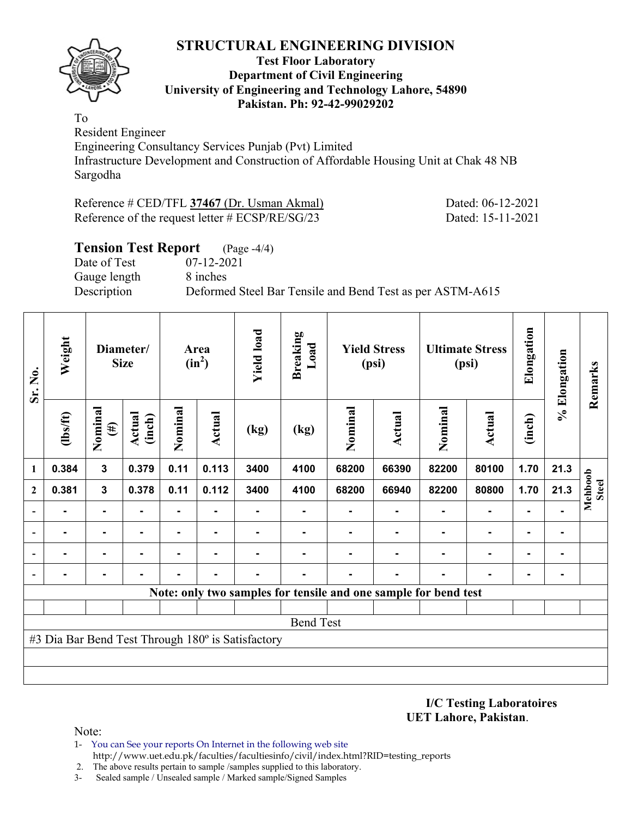

#### **Test Floor Laboratory Department of Civil Engineering University of Engineering and Technology Lahore, 54890 Pakistan. Ph: 92-42-99029202**

To Resident Engineer

Engineering Consultancy Services Punjab (Pvt) Limited Infrastructure Development and Construction of Affordable Housing Unit at Chak 48 NB Sargodha

Reference # CED/TFL **37467** (Dr. Usman Akmal) Dated: 06-12-2021 Reference of the request letter # ECSP/RE/SG/23 Dated: 15-11-2021

# **Tension Test Report** (Page -4/4) Date of Test 07-12-2021 Gauge length 8 inches Description Deformed Steel Bar Tensile and Bend Test as per ASTM-A615

| Sr. No.                  | Weight         |                   | Diameter/<br><b>Size</b> |                | Area<br>$(in^2)$ | <b>Yield load</b>                                 | <b>Breaking</b><br>Load |         | <b>Yield Stress</b><br>(psi)                                    |         | <b>Ultimate Stress</b><br>(psi) | Elongation | % Elongation | Remarks                 |
|--------------------------|----------------|-------------------|--------------------------|----------------|------------------|---------------------------------------------------|-------------------------|---------|-----------------------------------------------------------------|---------|---------------------------------|------------|--------------|-------------------------|
|                          | $\frac{2}{10}$ | Nominal<br>$(\#)$ | <b>Actual</b><br>(inch)  | Nominal        | Actual           | (kg)                                              | (kg)                    | Nominal | Actual                                                          | Nominal | <b>Actual</b>                   | (inch)     |              |                         |
| 1                        | 0.384          | $\mathbf{3}$      | 0.379                    | 0.11           | 0.113            | 3400                                              | 4100                    | 68200   | 66390                                                           | 82200   | 80100                           | 1.70       | 21.3         |                         |
| $\overline{2}$           | 0.381          | $\mathbf{3}$      | 0.378                    | 0.11           | 0.112            | 3400                                              | 4100                    | 68200   | 66940                                                           | 82200   | 80800                           | 1.70       | 21.3         | Mehboob<br><b>Steel</b> |
|                          |                | $\blacksquare$    | $\blacksquare$           | $\blacksquare$ |                  | $\blacksquare$                                    |                         |         | Ξ.                                                              |         | $\blacksquare$                  |            |              |                         |
|                          |                | ٠                 | -                        |                |                  |                                                   |                         |         |                                                                 |         |                                 |            | ۰            |                         |
|                          |                |                   |                          |                |                  |                                                   |                         |         |                                                                 |         |                                 |            | -            |                         |
| $\overline{\phantom{a}}$ |                |                   |                          |                |                  |                                                   |                         |         |                                                                 |         |                                 |            | ۰.           |                         |
|                          |                |                   |                          |                |                  |                                                   |                         |         | Note: only two samples for tensile and one sample for bend test |         |                                 |            |              |                         |
|                          |                |                   |                          |                |                  |                                                   |                         |         |                                                                 |         |                                 |            |              |                         |
|                          |                |                   |                          |                |                  |                                                   | <b>Bend Test</b>        |         |                                                                 |         |                                 |            |              |                         |
|                          |                |                   |                          |                |                  | #3 Dia Bar Bend Test Through 180° is Satisfactory |                         |         |                                                                 |         |                                 |            |              |                         |
|                          |                |                   |                          |                |                  |                                                   |                         |         |                                                                 |         |                                 |            |              |                         |
|                          |                |                   |                          |                |                  |                                                   |                         |         |                                                                 |         |                                 |            |              |                         |

**I/C Testing Laboratoires UET Lahore, Pakistan**.

- 1- You can See your reports On Internet in the following web site http://www.uet.edu.pk/faculties/facultiesinfo/civil/index.html?RID=testing\_reports
- 2. The above results pertain to sample /samples supplied to this laboratory.
- 3- Sealed sample / Unsealed sample / Marked sample/Signed Samples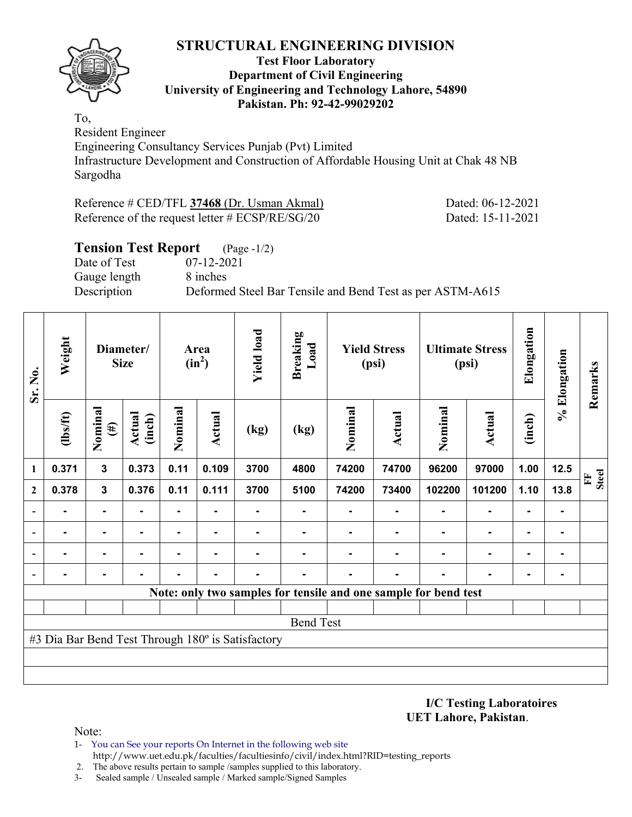

#### **Test Floor Laboratory Department of Civil Engineering University of Engineering and Technology Lahore, 54890 Pakistan. Ph: 92-42-99029202**

To, Resident Engineer

Engineering Consultancy Services Punjab (Pvt) Limited Infrastructure Development and Construction of Affordable Housing Unit at Chak 48 NB Sargodha

Reference # CED/TFL **37468** (Dr. Usman Akmal) Dated: 06-12-2021 Reference of the request letter # ECSP/RE/SG/20 Dated: 15-11-2021

## **Tension Test Report** (Page -1/2) Date of Test 07-12-2021 Gauge length 8 inches Description Deformed Steel Bar Tensile and Bend Test as per ASTM-A615

| Sr. No.                  | Weight         |                   | Diameter/<br><b>Size</b> |                | Area<br>$(in^2)$ | <b>Yield load</b>                                 | <b>Breaking</b><br>Load |         | <b>Yield Stress</b><br>(psi)                                    |                | <b>Ultimate Stress</b><br>(psi) | Elongation     | % Elongation | Remarks                      |
|--------------------------|----------------|-------------------|--------------------------|----------------|------------------|---------------------------------------------------|-------------------------|---------|-----------------------------------------------------------------|----------------|---------------------------------|----------------|--------------|------------------------------|
|                          | $\frac{2}{10}$ | Nominal<br>$(\#)$ | Actual<br>(inch)         | Nominal        | Actual           | (kg)                                              | (kg)                    | Nominal | <b>Actual</b>                                                   | Nominal        | <b>Actual</b>                   | (inch)         |              |                              |
| 1                        | 0.371          | $\mathbf{3}$      | 0.373                    | 0.11           | 0.109            | 3700                                              | 4800                    | 74200   | 74700                                                           | 96200          | 97000                           | 1.00           | 12.5         | <b>Steel</b><br>$\mathbf{F}$ |
| $\overline{2}$           | 0.378          | 3                 | 0.376                    | 0.11           | 0.111            | 3700                                              | 5100                    | 74200   | 73400                                                           | 102200         | 101200                          | 1.10           | 13.8         |                              |
|                          |                | $\blacksquare$    |                          | $\blacksquare$ | ٠                |                                                   | ۰                       |         |                                                                 | $\blacksquare$ | $\blacksquare$                  | $\blacksquare$ |              |                              |
|                          |                | ۰                 |                          |                | $\blacksquare$   |                                                   |                         |         |                                                                 |                | $\blacksquare$                  | ۰              |              |                              |
|                          |                |                   |                          |                |                  |                                                   |                         |         |                                                                 |                | ٠                               | ۰              |              |                              |
| $\overline{\phantom{a}}$ |                |                   |                          |                |                  |                                                   |                         |         |                                                                 |                |                                 |                |              |                              |
|                          |                |                   |                          |                |                  |                                                   |                         |         | Note: only two samples for tensile and one sample for bend test |                |                                 |                |              |                              |
|                          |                |                   |                          |                |                  |                                                   |                         |         |                                                                 |                |                                 |                |              |                              |
|                          |                |                   |                          |                |                  |                                                   | <b>Bend Test</b>        |         |                                                                 |                |                                 |                |              |                              |
|                          |                |                   |                          |                |                  | #3 Dia Bar Bend Test Through 180° is Satisfactory |                         |         |                                                                 |                |                                 |                |              |                              |
|                          |                |                   |                          |                |                  |                                                   |                         |         |                                                                 |                |                                 |                |              |                              |
|                          |                |                   |                          |                |                  |                                                   |                         |         |                                                                 |                |                                 |                |              |                              |

**I/C Testing Laboratoires UET Lahore, Pakistan**.

- 1- You can See your reports On Internet in the following web site http://www.uet.edu.pk/faculties/facultiesinfo/civil/index.html?RID=testing\_reports
- 2. The above results pertain to sample /samples supplied to this laboratory.
- 3- Sealed sample / Unsealed sample / Marked sample/Signed Samples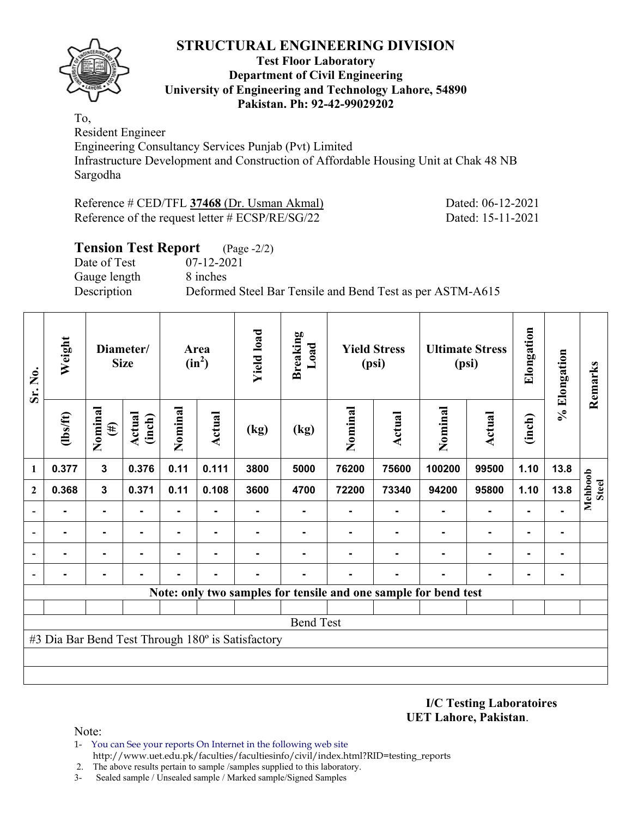

#### **Test Floor Laboratory Department of Civil Engineering University of Engineering and Technology Lahore, 54890 Pakistan. Ph: 92-42-99029202**

To, Resident Engineer

Engineering Consultancy Services Punjab (Pvt) Limited Infrastructure Development and Construction of Affordable Housing Unit at Chak 48 NB Sargodha

Reference # CED/TFL **37468** (Dr. Usman Akmal) Dated: 06-12-2021 Reference of the request letter # ECSP/RE/SG/22 Dated: 15-11-2021

## **Tension Test Report** (Page -2/2) Date of Test 07-12-2021 Gauge length 8 inches Description Deformed Steel Bar Tensile and Bend Test as per ASTM-A615

| Sr. No.                  | Weight         |                   | Diameter/<br><b>Size</b> |                | Area<br>$(in^2)$ | <b>Yield load</b>                                 | <b>Breaking</b><br>Load |         | <b>Yield Stress</b><br>(psi) |                                                                 | <b>Ultimate Stress</b><br>(psi) | Elongation | % Elongation   | Remarks                 |
|--------------------------|----------------|-------------------|--------------------------|----------------|------------------|---------------------------------------------------|-------------------------|---------|------------------------------|-----------------------------------------------------------------|---------------------------------|------------|----------------|-------------------------|
|                          | $\frac{2}{10}$ | Nominal<br>$(\#)$ | Actual<br>(inch)         | Nominal        | Actual           | (kg)                                              | (kg)                    | Nominal | <b>Actual</b>                | Nominal                                                         | <b>Actual</b>                   | (inch)     |                |                         |
| 1                        | 0.377          | $\mathbf{3}$      | 0.376                    | 0.11           | 0.111            | 3800                                              | 5000                    | 76200   | 75600                        | 100200                                                          | 99500                           | 1.10       | 13.8           |                         |
| $\overline{2}$           | 0.368          | 3                 | 0.371                    | 0.11           | 0.108            | 3600                                              | 4700                    | 72200   | 73340                        | 94200                                                           | 95800                           | 1.10       | 13.8           | Mehboob<br><b>Steel</b> |
|                          |                | $\blacksquare$    | $\blacksquare$           | $\blacksquare$ |                  | $\blacksquare$                                    | ۰                       |         |                              |                                                                 | ٠                               | ٠          |                |                         |
|                          |                | $\blacksquare$    | $\blacksquare$           | $\blacksquare$ | $\blacksquare$   |                                                   |                         |         |                              |                                                                 | $\blacksquare$                  | ٠          | $\blacksquare$ |                         |
|                          |                | ٠                 |                          |                |                  |                                                   |                         |         |                              |                                                                 |                                 |            | $\blacksquare$ |                         |
| $\overline{\phantom{0}}$ |                |                   |                          |                |                  |                                                   |                         |         |                              |                                                                 |                                 |            | ۰              |                         |
|                          |                |                   |                          |                |                  |                                                   |                         |         |                              | Note: only two samples for tensile and one sample for bend test |                                 |            |                |                         |
|                          |                |                   |                          |                |                  |                                                   |                         |         |                              |                                                                 |                                 |            |                |                         |
|                          |                |                   |                          |                |                  |                                                   | <b>Bend Test</b>        |         |                              |                                                                 |                                 |            |                |                         |
|                          |                |                   |                          |                |                  | #3 Dia Bar Bend Test Through 180° is Satisfactory |                         |         |                              |                                                                 |                                 |            |                |                         |
|                          |                |                   |                          |                |                  |                                                   |                         |         |                              |                                                                 |                                 |            |                |                         |
|                          |                |                   |                          |                |                  |                                                   |                         |         |                              |                                                                 |                                 |            |                |                         |

**I/C Testing Laboratoires UET Lahore, Pakistan**.

- 1- You can See your reports On Internet in the following web site http://www.uet.edu.pk/faculties/facultiesinfo/civil/index.html?RID=testing\_reports
- 2. The above results pertain to sample /samples supplied to this laboratory.
- 3- Sealed sample / Unsealed sample / Marked sample/Signed Samples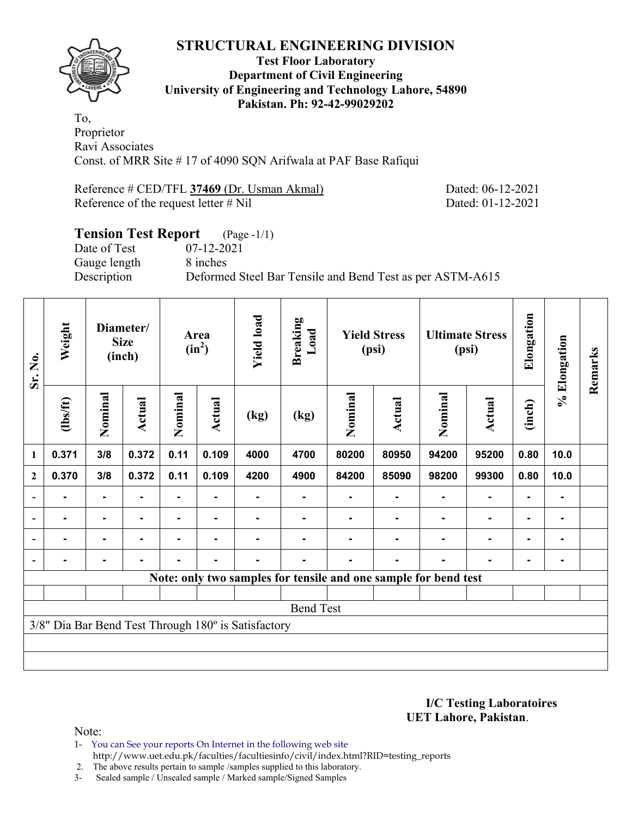

#### **Test Floor Laboratory Department of Civil Engineering University of Engineering and Technology Lahore, 54890 Pakistan. Ph: 92-42-99029202**

To, Proprietor Ravi Associates Const. of MRR Site # 17 of 4090 SQN Arifwala at PAF Base Rafiqui

Reference # CED/TFL **37469** (Dr. Usman Akmal) Dated: 06-12-2021 Reference of the request letter # Nil Dated: 01-12-2021

# **Tension Test Report** (Page -1/1) Date of Test 07-12-2021 Gauge length 8 inches Description Deformed Steel Bar Tensile and Bend Test as per ASTM-A615

| Sr. No.                  | Weight         |                | Diameter/<br><b>Size</b><br>(inch) |         | Area<br>$(in^2)$ | <b>Yield load</b>                                   | <b>Breaking</b><br>Load                                         |         | <b>Yield Stress</b><br>(psi) |         | <b>Ultimate Stress</b><br>(psi) | Elongation     | % Elongation | Remarks |
|--------------------------|----------------|----------------|------------------------------------|---------|------------------|-----------------------------------------------------|-----------------------------------------------------------------|---------|------------------------------|---------|---------------------------------|----------------|--------------|---------|
|                          | $\frac{2}{10}$ | Nominal        | Actual                             | Nominal | Actual           | (kg)                                                | (kg)                                                            | Nominal | Actual                       | Nominal | Actual                          | (inch)         |              |         |
| $\mathbf{1}$             | 0.371          | 3/8            | 0.372                              | 0.11    | 0.109            | 4000                                                | 4700                                                            | 80200   | 80950                        | 94200   | 95200                           | 0.80           | 10.0         |         |
| $\boldsymbol{2}$         | 0.370          | 3/8            | 0.372                              | 0.11    | 0.109            | 4200                                                | 4900                                                            | 84200   | 85090                        | 98200   | 99300                           | 0.80           | 10.0         |         |
|                          |                | $\blacksquare$ |                                    |         |                  |                                                     |                                                                 |         |                              |         |                                 |                |              |         |
| $\overline{\phantom{a}}$ |                | Ξ.             |                                    |         |                  |                                                     |                                                                 |         |                              |         | $\blacksquare$                  | $\blacksquare$ |              |         |
| $\blacksquare$           |                | ٠              |                                    |         |                  |                                                     |                                                                 |         |                              |         | $\blacksquare$                  | $\blacksquare$ |              |         |
|                          |                | ٠.             |                                    |         | $\blacksquare$   |                                                     |                                                                 |         |                              |         | $\blacksquare$                  | $\blacksquare$ |              |         |
|                          |                |                |                                    |         |                  |                                                     | Note: only two samples for tensile and one sample for bend test |         |                              |         |                                 |                |              |         |
|                          |                |                |                                    |         |                  |                                                     |                                                                 |         |                              |         |                                 |                |              |         |
|                          |                |                |                                    |         |                  |                                                     | <b>Bend Test</b>                                                |         |                              |         |                                 |                |              |         |
|                          |                |                |                                    |         |                  | 3/8" Dia Bar Bend Test Through 180° is Satisfactory |                                                                 |         |                              |         |                                 |                |              |         |
|                          |                |                |                                    |         |                  |                                                     |                                                                 |         |                              |         |                                 |                |              |         |
|                          |                |                |                                    |         |                  |                                                     |                                                                 |         |                              |         |                                 |                |              |         |

**I/C Testing Laboratoires UET Lahore, Pakistan**.

- 1- You can See your reports On Internet in the following web site http://www.uet.edu.pk/faculties/facultiesinfo/civil/index.html?RID=testing\_reports
- 2. The above results pertain to sample /samples supplied to this laboratory.
- 3- Sealed sample / Unsealed sample / Marked sample/Signed Samples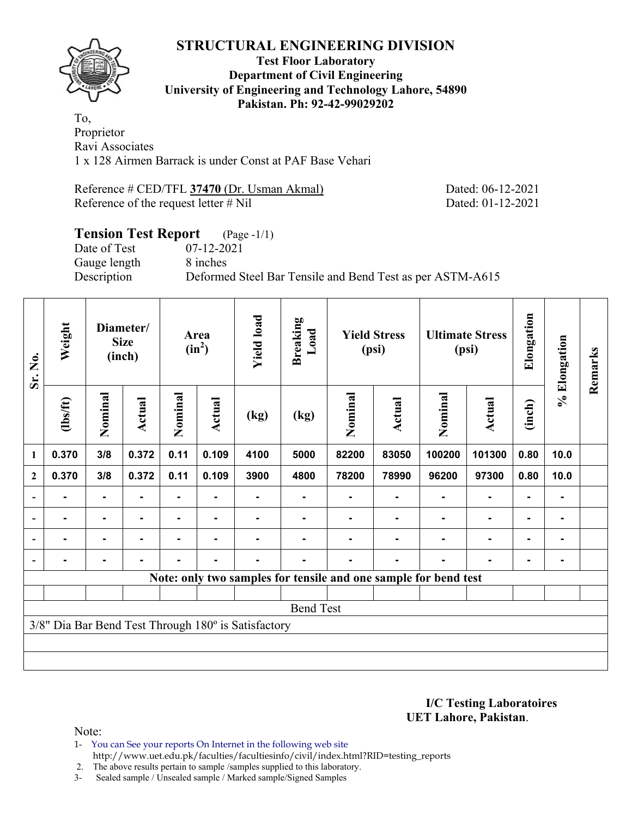

#### **Test Floor Laboratory Department of Civil Engineering University of Engineering and Technology Lahore, 54890 Pakistan. Ph: 92-42-99029202**

To, Proprietor Ravi Associates 1 x 128 Airmen Barrack is under Const at PAF Base Vehari

Reference # CED/TFL **37470** (Dr. Usman Akmal) Dated: 06-12-2021 Reference of the request letter # Nil Dated: 01-12-2021

# **Tension Test Report** (Page -1/1) Date of Test 07-12-2021 Gauge length 8 inches Description Deformed Steel Bar Tensile and Bend Test as per ASTM-A615

| Sr. No.                  | Weight         |                | Diameter/<br><b>Size</b><br>(inch) |         | Area<br>$(in^2)$ | <b>Yield load</b>                                   | <b>Breaking</b><br>Load  |         | <b>Yield Stress</b><br>(psi) |                                                                 | <b>Ultimate Stress</b><br>(psi) | Elongation     | % Elongation   | Remarks |
|--------------------------|----------------|----------------|------------------------------------|---------|------------------|-----------------------------------------------------|--------------------------|---------|------------------------------|-----------------------------------------------------------------|---------------------------------|----------------|----------------|---------|
|                          | $\frac{2}{10}$ | Nominal        | Actual                             | Nominal | <b>Actual</b>    | (kg)                                                | $\left(\text{kg}\right)$ | Nominal | Actual                       | Nominal                                                         | Actual                          | (inch)         |                |         |
| 1                        | 0.370          | 3/8            | 0.372                              | 0.11    | 0.109            | 4100                                                | 5000                     | 82200   | 83050                        | 100200                                                          | 101300                          | 0.80           | 10.0           |         |
| $\overline{2}$           | 0.370          | 3/8            | 0.372                              | 0.11    | 0.109            | 3900                                                | 4800                     | 78200   | 78990                        | 96200                                                           | 97300                           | 0.80           | 10.0           |         |
| $\overline{\phantom{a}}$ |                | ۰              |                                    |         |                  |                                                     |                          |         |                              |                                                                 |                                 | $\blacksquare$ |                |         |
| $\overline{\phantom{a}}$ |                | $\blacksquare$ |                                    |         | $\blacksquare$   |                                                     |                          |         |                              |                                                                 | ۰                               | $\blacksquare$ | ۰              |         |
| $\overline{\phantom{a}}$ |                | $\blacksquare$ | ۰                                  | ۰       | $\blacksquare$   |                                                     |                          |         |                              | $\blacksquare$                                                  | $\blacksquare$                  | $\blacksquare$ | $\blacksquare$ |         |
|                          |                | -              |                                    |         | $\blacksquare$   |                                                     |                          |         |                              |                                                                 | ۰                               | $\blacksquare$ | ۰              |         |
|                          |                |                |                                    |         |                  |                                                     |                          |         |                              | Note: only two samples for tensile and one sample for bend test |                                 |                |                |         |
|                          |                |                |                                    |         |                  |                                                     |                          |         |                              |                                                                 |                                 |                |                |         |
|                          |                |                |                                    |         |                  |                                                     | <b>Bend Test</b>         |         |                              |                                                                 |                                 |                |                |         |
|                          |                |                |                                    |         |                  | 3/8" Dia Bar Bend Test Through 180° is Satisfactory |                          |         |                              |                                                                 |                                 |                |                |         |
|                          |                |                |                                    |         |                  |                                                     |                          |         |                              |                                                                 |                                 |                |                |         |
|                          |                |                |                                    |         |                  |                                                     |                          |         |                              |                                                                 |                                 |                |                |         |

**I/C Testing Laboratoires UET Lahore, Pakistan**.

- 1- You can See your reports On Internet in the following web site http://www.uet.edu.pk/faculties/facultiesinfo/civil/index.html?RID=testing\_reports
- 2. The above results pertain to sample /samples supplied to this laboratory.
- 3- Sealed sample / Unsealed sample / Marked sample/Signed Samples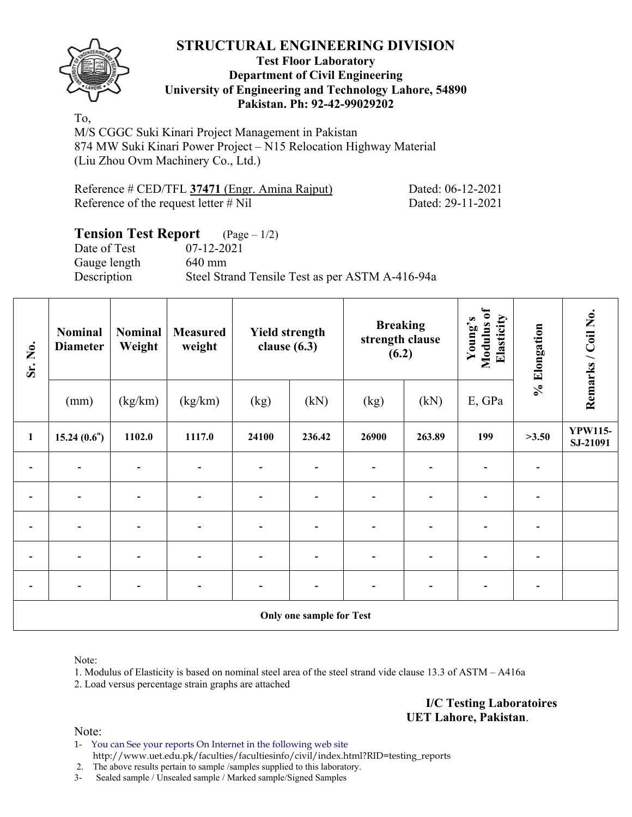

#### **Test Floor Laboratory Department of Civil Engineering University of Engineering and Technology Lahore, 54890 Pakistan. Ph: 92-42-99029202**

To,

M/S CGGC Suki Kinari Project Management in Pakistan 874 MW Suki Kinari Power Project – N15 Relocation Highway Material (Liu Zhou Ovm Machinery Co., Ltd.)

| Reference # CED/TFL 37471 (Engr. Amina Rajput) |  |  |
|------------------------------------------------|--|--|
| Reference of the request letter # Nil          |  |  |

Dated: 06-12-2021 Dated: 29-11-2021

# **Tension Test Report** (Page – 1/2)

Gauge length 640 mm

Date of Test 07-12-2021 Description Steel Strand Tensile Test as per ASTM A-416-94a

| Sr. No.      | <b>Nominal</b><br><b>Diameter</b> | <b>Nominal</b><br>Weight     | <b>Measured</b><br>weight | <b>Yield strength</b><br>clause $(6.3)$ |                          | <b>Breaking</b><br>strength clause<br>(6.2) |                              | Modulus of<br>Elasticity<br>Young's | % Elongation             | Remarks / Coil No.         |
|--------------|-----------------------------------|------------------------------|---------------------------|-----------------------------------------|--------------------------|---------------------------------------------|------------------------------|-------------------------------------|--------------------------|----------------------------|
|              | (mm)                              | (kg/km)                      | (kg/km)                   | (kg)                                    | (kN)                     | (kg)                                        | (kN)                         | E, GPa                              |                          |                            |
| $\mathbf{1}$ | 15.24(0.6")                       | 1102.0                       | 1117.0                    | 24100                                   | 236.42                   | 26900                                       | 263.89                       | 199                                 | >3.50                    | <b>YPW115-</b><br>SJ-21091 |
|              |                                   | $\blacksquare$               | $\overline{\phantom{0}}$  | $\overline{\phantom{0}}$                | $\overline{\phantom{a}}$ | $\overline{\phantom{a}}$                    | $\overline{\phantom{a}}$     |                                     | $\overline{\phantom{0}}$ |                            |
|              |                                   |                              |                           |                                         | ۰                        | $\overline{\phantom{0}}$                    | $\blacksquare$               |                                     | ٠                        |                            |
|              |                                   |                              | $\overline{\phantom{0}}$  | $\overline{\phantom{0}}$                | $\blacksquare$           | $\overline{\phantom{0}}$                    | $\qquad \qquad \blacksquare$ |                                     |                          |                            |
|              |                                   |                              |                           |                                         | ۰                        | $\overline{\phantom{0}}$                    |                              |                                     |                          |                            |
|              |                                   | $\qquad \qquad \blacksquare$ | $\overline{\phantom{0}}$  | $\overline{\phantom{0}}$                | $\overline{\phantom{a}}$ | $\blacksquare$                              | $\overline{\phantom{a}}$     | $\blacksquare$                      | $\overline{\phantom{a}}$ |                            |
|              |                                   |                              |                           |                                         |                          |                                             |                              |                                     |                          |                            |

**Only one sample for Test** 

Note:

1. Modulus of Elasticity is based on nominal steel area of the steel strand vide clause 13.3 of ASTM – A416a

2. Load versus percentage strain graphs are attached

**I/C Testing Laboratoires UET Lahore, Pakistan**.

Note:

1- You can See your reports On Internet in the following web site http://www.uet.edu.pk/faculties/facultiesinfo/civil/index.html?RID=testing\_reports

2. The above results pertain to sample /samples supplied to this laboratory.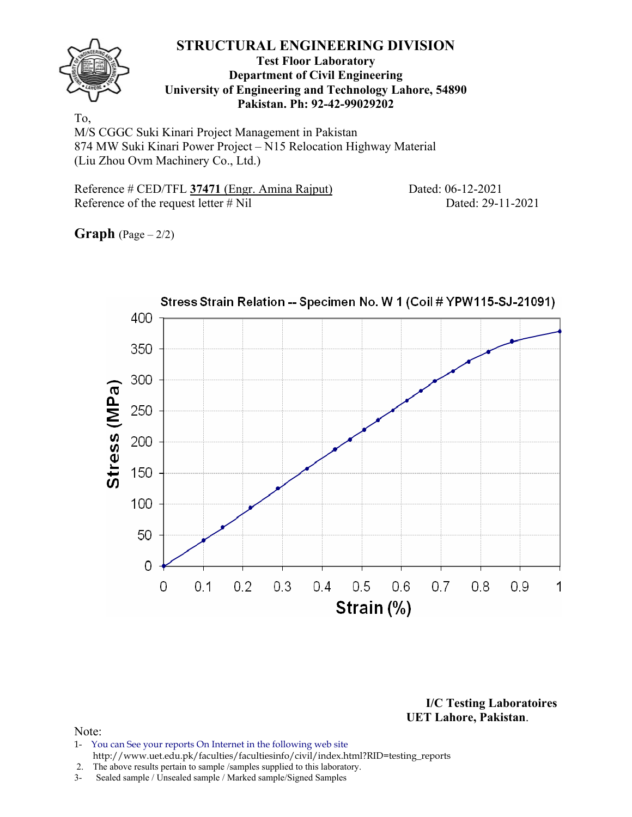

#### **Test Floor Laboratory Department of Civil Engineering University of Engineering and Technology Lahore, 54890 Pakistan. Ph: 92-42-99029202**

To, M/S CGGC Suki Kinari Project Management in Pakistan 874 MW Suki Kinari Power Project – N15 Relocation Highway Material (Liu Zhou Ovm Machinery Co., Ltd.)

Reference # CED/TFL 37471 (Engr. Amina Rajput) Dated: 06-12-2021 Reference of the request letter # Nil Dated: 29-11-2021

**Graph**  $(Page - 2/2)$ 



**I/C Testing Laboratoires UET Lahore, Pakistan**.

- 1- You can See your reports On Internet in the following web site http://www.uet.edu.pk/faculties/facultiesinfo/civil/index.html?RID=testing\_reports
- 2. The above results pertain to sample /samples supplied to this laboratory.
- 3- Sealed sample / Unsealed sample / Marked sample/Signed Samples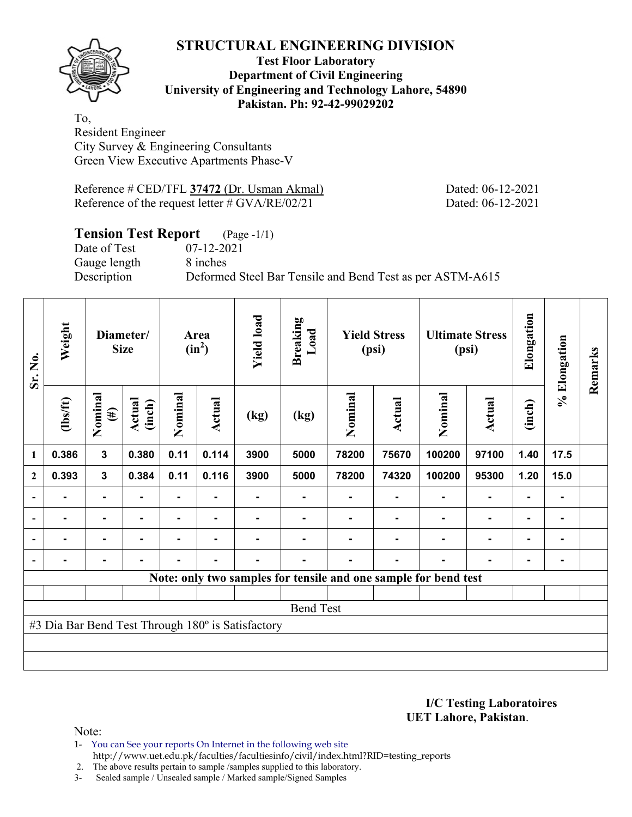

#### **Test Floor Laboratory Department of Civil Engineering University of Engineering and Technology Lahore, 54890 Pakistan. Ph: 92-42-99029202**

To, Resident Engineer City Survey & Engineering Consultants Green View Executive Apartments Phase-V

Reference # CED/TFL **37472** (Dr. Usman Akmal) Dated: 06-12-2021 Reference of the request letter # GVA/RE/02/21 Dated: 06-12-2021

# **Tension Test Report** (Page -1/1)

Date of Test 07-12-2021 Gauge length 8 inches

Description Deformed Steel Bar Tensile and Bend Test as per ASTM-A615

| Sr. No.                  | Weight           |                         | Diameter/<br><b>Size</b> |         | Area<br>$(in^2)$ | <b>Yield load</b>                                 | <b>Breaking</b><br>Load |         | <b>Yield Stress</b><br>(psi) |                                                                 | <b>Ultimate Stress</b><br>(psi) | Elongation     | % Elongation | Remarks |
|--------------------------|------------------|-------------------------|--------------------------|---------|------------------|---------------------------------------------------|-------------------------|---------|------------------------------|-----------------------------------------------------------------|---------------------------------|----------------|--------------|---------|
|                          | $\frac{2}{10}$   | Nominal<br>$(\#)$       | Actual<br>(inch)         | Nominal | Actual           | (kg)                                              | (kg)                    | Nominal | Actual                       | Nominal                                                         | Actual                          | (inch)         |              |         |
| 1                        | 0.386            | $\overline{\mathbf{3}}$ | 0.380                    | 0.11    | 0.114            | 3900                                              | 5000                    | 78200   | 75670                        | 100200                                                          | 97100                           | 1.40           | 17.5         |         |
| $\mathbf{2}$             | 0.393            | $\mathbf{3}$            | 0.384                    | 0.11    | 0.116            | 3900                                              | 5000                    | 78200   | 74320                        | 100200                                                          | 95300                           | 1.20           | 15.0         |         |
| $\overline{\phantom{0}}$ |                  | $\blacksquare$          |                          |         |                  |                                                   |                         |         |                              |                                                                 |                                 |                |              |         |
| $\overline{\phantom{a}}$ |                  | ۰                       |                          |         |                  |                                                   |                         |         |                              |                                                                 | $\blacksquare$                  | $\blacksquare$ |              |         |
| $\overline{\phantom{a}}$ |                  | ۰                       |                          | -       |                  |                                                   |                         |         |                              |                                                                 | $\blacksquare$                  | $\blacksquare$ |              |         |
| $\overline{\phantom{a}}$ |                  | $\blacksquare$          |                          | -       | $\blacksquare$   | $\blacksquare$                                    |                         |         | ۰                            |                                                                 | ۰                               | ۰              |              |         |
|                          |                  |                         |                          |         |                  |                                                   |                         |         |                              | Note: only two samples for tensile and one sample for bend test |                                 |                |              |         |
|                          |                  |                         |                          |         |                  |                                                   |                         |         |                              |                                                                 |                                 |                |              |         |
|                          | <b>Bend Test</b> |                         |                          |         |                  |                                                   |                         |         |                              |                                                                 |                                 |                |              |         |
|                          |                  |                         |                          |         |                  | #3 Dia Bar Bend Test Through 180° is Satisfactory |                         |         |                              |                                                                 |                                 |                |              |         |
|                          |                  |                         |                          |         |                  |                                                   |                         |         |                              |                                                                 |                                 |                |              |         |
|                          |                  |                         |                          |         |                  |                                                   |                         |         |                              |                                                                 |                                 |                |              |         |

**I/C Testing Laboratoires UET Lahore, Pakistan**.

Note:

1- You can See your reports On Internet in the following web site http://www.uet.edu.pk/faculties/facultiesinfo/civil/index.html?RID=testing\_reports

2. The above results pertain to sample /samples supplied to this laboratory.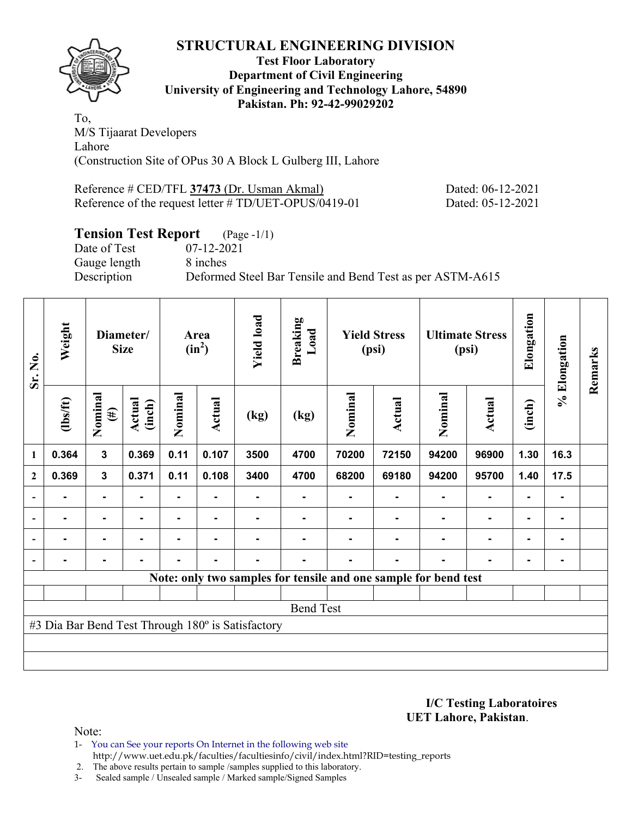

#### **Test Floor Laboratory Department of Civil Engineering University of Engineering and Technology Lahore, 54890 Pakistan. Ph: 92-42-99029202**

To, M/S Tijaarat Developers Lahore (Construction Site of OPus 30 A Block L Gulberg III, Lahore

Reference # CED/TFL **37473** (Dr. Usman Akmal) Dated: 06-12-2021 Reference of the request letter # TD/UET-OPUS/0419-01 Dated: 05-12-2021

# **Tension Test Report** (Page -1/1)

Date of Test 07-12-2021 Gauge length 8 inches

Description Deformed Steel Bar Tensile and Bend Test as per ASTM-A615

| Sr. No.      | Weight                                            |                   | Diameter/<br><b>Size</b> |         | Area<br>$(in^2)$ | <b>Yield load</b> | <b>Breaking</b><br>Load |         | <b>Yield Stress</b><br>(psi)                                    |         | <b>Ultimate Stress</b><br>(psi) | Elongation     | % Elongation | Remarks |
|--------------|---------------------------------------------------|-------------------|--------------------------|---------|------------------|-------------------|-------------------------|---------|-----------------------------------------------------------------|---------|---------------------------------|----------------|--------------|---------|
|              | $\frac{2}{10}$                                    | Nominal<br>$(\#)$ | Actual<br>(inch)         | Nominal | Actual           | (kg)              | (kg)                    | Nominal | Actual                                                          | Nominal | Actual                          | (inch)         |              |         |
| 1            | 0.364                                             | $\mathbf{3}$      | 0.369                    | 0.11    | 0.107            | 3500              | 4700                    | 70200   | 72150                                                           | 94200   | 96900                           | 1.30           | 16.3         |         |
| $\mathbf{2}$ | 0.369                                             | $\mathbf{3}$      | 0.371                    | 0.11    | 0.108            | 3400              | 4700                    | 68200   | 69180                                                           | 94200   | 95700                           | 1.40           | 17.5         |         |
|              |                                                   |                   |                          |         |                  |                   |                         |         |                                                                 |         |                                 |                |              |         |
|              |                                                   | $\blacksquare$    |                          |         | -                |                   |                         |         |                                                                 |         | $\blacksquare$                  | $\blacksquare$ |              |         |
|              | $\blacksquare$                                    | $\blacksquare$    |                          | ۰       | $\blacksquare$   |                   |                         |         |                                                                 |         | $\blacksquare$                  | $\blacksquare$ |              |         |
|              |                                                   | $\blacksquare$    |                          | ۰       | $\blacksquare$   |                   | -                       |         | $\blacksquare$                                                  |         | $\blacksquare$                  | $\blacksquare$ |              |         |
|              |                                                   |                   |                          |         |                  |                   |                         |         | Note: only two samples for tensile and one sample for bend test |         |                                 |                |              |         |
|              |                                                   |                   |                          |         |                  |                   |                         |         |                                                                 |         |                                 |                |              |         |
|              | <b>Bend Test</b>                                  |                   |                          |         |                  |                   |                         |         |                                                                 |         |                                 |                |              |         |
|              | #3 Dia Bar Bend Test Through 180° is Satisfactory |                   |                          |         |                  |                   |                         |         |                                                                 |         |                                 |                |              |         |
|              |                                                   |                   |                          |         |                  |                   |                         |         |                                                                 |         |                                 |                |              |         |
|              |                                                   |                   |                          |         |                  |                   |                         |         |                                                                 |         |                                 |                |              |         |

**I/C Testing Laboratoires UET Lahore, Pakistan**.

Note:

1- You can See your reports On Internet in the following web site http://www.uet.edu.pk/faculties/facultiesinfo/civil/index.html?RID=testing\_reports

2. The above results pertain to sample /samples supplied to this laboratory.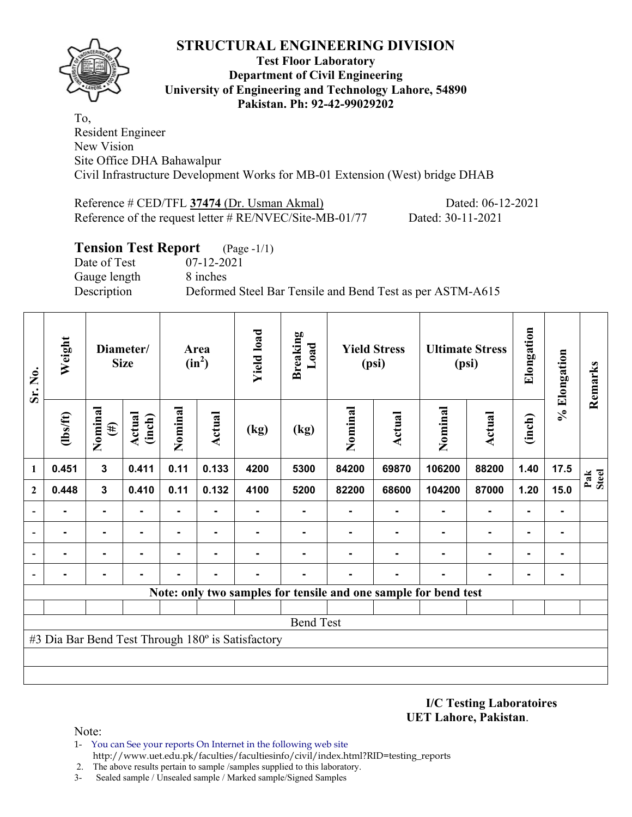

#### **Test Floor Laboratory Department of Civil Engineering University of Engineering and Technology Lahore, 54890 Pakistan. Ph: 92-42-99029202**

To, Resident Engineer New Vision Site Office DHA Bahawalpur Civil Infrastructure Development Works for MB-01 Extension (West) bridge DHAB

Reference # CED/TFL **37474** (Dr. Usman Akmal) Dated: 06-12-2021 Reference of the request letter # RE/NVEC/Site-MB-01/77 Dated: 30-11-2021

#### **Tension Test Report** (Page -1/1)

Date of Test 07-12-2021 Gauge length 8 inches

Description Deformed Steel Bar Tensile and Bend Test as per ASTM-A615

| Sr. No.        | Weight         |                   | Diameter/<br><b>Size</b> |                | Area<br>$(in^2)$ | <b>Yield load</b>                                 | <b>Breaking</b><br>Load |         | <b>Yield Stress</b><br>(psi) |                                                                 | <b>Ultimate Stress</b><br>(psi) | Elongation | % Elongation   | Remarks      |
|----------------|----------------|-------------------|--------------------------|----------------|------------------|---------------------------------------------------|-------------------------|---------|------------------------------|-----------------------------------------------------------------|---------------------------------|------------|----------------|--------------|
|                | $\frac{2}{10}$ | Nominal<br>$(\#)$ | Actual<br>(inch)         | Nominal        | Actual           | (kg)                                              | (kg)                    | Nominal | <b>Actual</b>                | Nominal                                                         | Actual                          | (inch)     |                |              |
| 1              | 0.451          | $\mathbf{3}$      | 0.411                    | 0.11           | 0.133            | 4200                                              | 5300                    | 84200   | 69870                        | 106200                                                          | 88200                           | 1.40       | 17.5           | Pak<br>Steel |
| $\mathbf{2}$   | 0.448          | $\mathbf{3}$      | 0.410                    | 0.11           | 0.132            | 4100                                              | 5200                    | 82200   | 68600                        | 104200                                                          | 87000                           | 1.20       | 15.0           |              |
|                |                | $\blacksquare$    |                          | $\blacksquare$ | ۰.               |                                                   | ۰                       |         |                              |                                                                 |                                 |            | ۰              |              |
|                |                |                   |                          |                |                  |                                                   |                         |         |                              |                                                                 |                                 |            | $\blacksquare$ |              |
|                |                | $\blacksquare$    |                          |                |                  |                                                   |                         |         |                              |                                                                 |                                 |            | ۰              |              |
| $\blacksquare$ |                |                   |                          |                |                  |                                                   |                         |         |                              |                                                                 |                                 | ۰          | ٠              |              |
|                |                |                   |                          |                |                  |                                                   |                         |         |                              | Note: only two samples for tensile and one sample for bend test |                                 |            |                |              |
|                |                |                   |                          |                |                  |                                                   |                         |         |                              |                                                                 |                                 |            |                |              |
|                |                |                   |                          |                |                  |                                                   | <b>Bend Test</b>        |         |                              |                                                                 |                                 |            |                |              |
|                |                |                   |                          |                |                  | #3 Dia Bar Bend Test Through 180° is Satisfactory |                         |         |                              |                                                                 |                                 |            |                |              |
|                |                |                   |                          |                |                  |                                                   |                         |         |                              |                                                                 |                                 |            |                |              |
|                |                |                   |                          |                |                  |                                                   |                         |         |                              |                                                                 |                                 |            |                |              |

**I/C Testing Laboratoires UET Lahore, Pakistan**.

- 1- You can See your reports On Internet in the following web site http://www.uet.edu.pk/faculties/facultiesinfo/civil/index.html?RID=testing\_reports
- 2. The above results pertain to sample /samples supplied to this laboratory.
- 3- Sealed sample / Unsealed sample / Marked sample/Signed Samples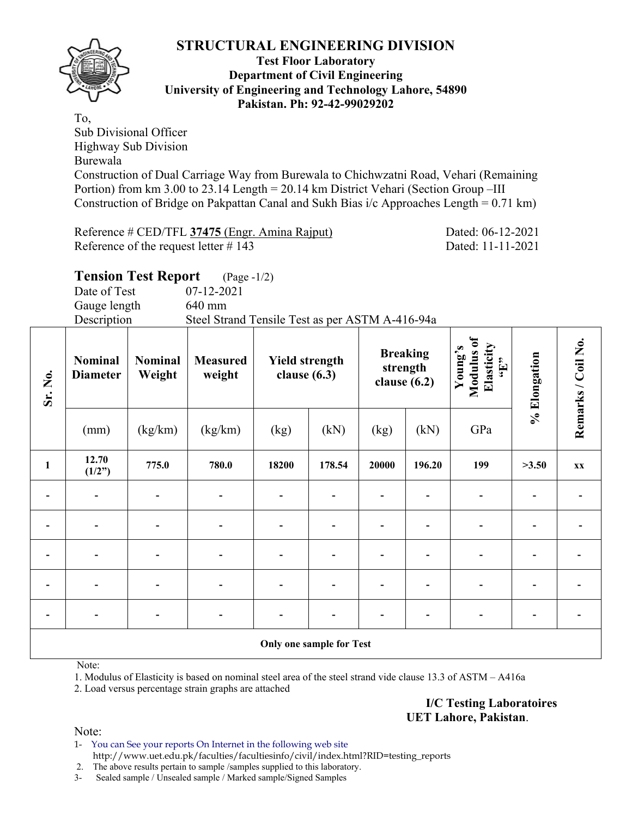

#### **Test Floor Laboratory Department of Civil Engineering University of Engineering and Technology Lahore, 54890 Pakistan. Ph: 92-42-99029202**

To, Sub Divisional Officer Highway Sub Division Burewala Construction of Dual Carriage Way from Burewala to Chichwzatni Road, Vehari (Remaining Portion) from km 3.00 to 23.14 Length = 20.14 km District Vehari (Section Group –III Construction of Bridge on Pakpattan Canal and Sukh Bias i/c Approaches Length = 0.71 km)

Reference # CED/TFL **37475** (Engr. Amina Rajput) Dated: 06-12-2021 Reference of the request letter # 143 Dated: 11-11-2021

# **Tension Test Report** (Page -1/2)

Date of Test 07-12-2021 Gauge length 640 mm Description Steel Strand Tensile Test as per ASTM A-416-94a

| Sr. No.                  | <b>Nominal</b><br><b>Diameter</b> | <b>Nominal</b><br>Weight | <b>Measured</b><br><b>Yield strength</b><br>weight<br>clause $(6.3)$ |                          | <b>Breaking</b><br>strength<br>clause $(6.2)$ |       | Modulus of<br>Elasticity<br>Young's<br>$\mathbf{f}$ . | % Elongation | Remarks / Coil No. |    |
|--------------------------|-----------------------------------|--------------------------|----------------------------------------------------------------------|--------------------------|-----------------------------------------------|-------|-------------------------------------------------------|--------------|--------------------|----|
|                          | (mm)                              | (kg/km)                  | (kg/km)                                                              | (kg)                     | (kN)                                          | (kg)  | (kN)                                                  | GPa          |                    |    |
| $\mathbf{1}$             | 12.70<br>(1/2")                   | 775.0                    | 780.0                                                                | 18200                    | 178.54                                        | 20000 | 196.20                                                | 199          | >3.50              | XX |
|                          | $\overline{\phantom{0}}$          |                          | $\overline{a}$                                                       | $\overline{\phantom{a}}$ |                                               |       |                                                       |              |                    |    |
| $\blacksquare$           |                                   |                          |                                                                      | $\blacksquare$           |                                               |       |                                                       |              |                    |    |
|                          |                                   |                          |                                                                      | $\overline{a}$           |                                               |       |                                                       |              |                    |    |
| $\overline{\phantom{a}}$ |                                   |                          |                                                                      |                          |                                               |       |                                                       |              |                    |    |
|                          |                                   |                          |                                                                      |                          |                                               |       |                                                       |              |                    |    |
|                          |                                   |                          |                                                                      |                          | Only one sample for Test                      |       |                                                       |              |                    |    |

Note:

1. Modulus of Elasticity is based on nominal steel area of the steel strand vide clause 13.3 of ASTM – A416a

2. Load versus percentage strain graphs are attached

**I/C Testing Laboratoires UET Lahore, Pakistan**.

Note:

1- You can See your reports On Internet in the following web site http://www.uet.edu.pk/faculties/facultiesinfo/civil/index.html?RID=testing\_reports

2. The above results pertain to sample /samples supplied to this laboratory.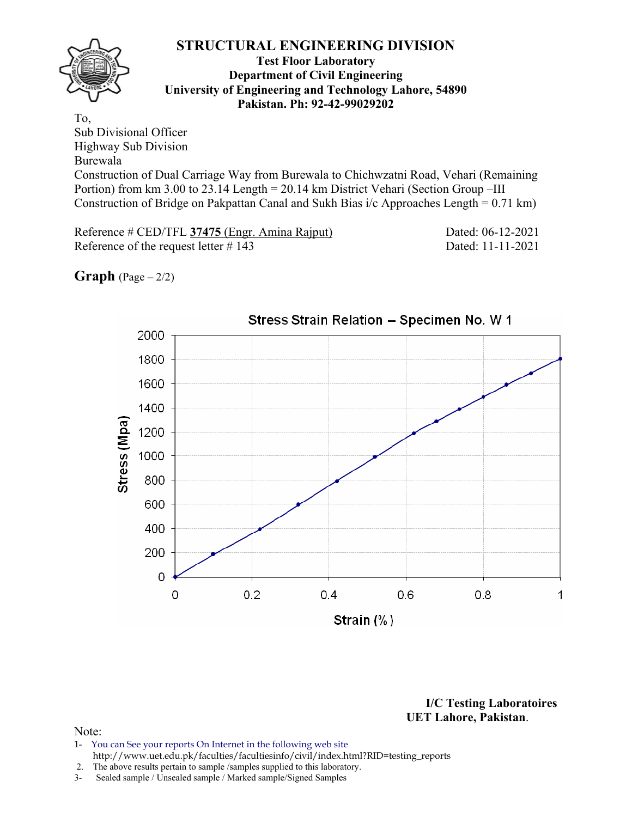

#### **Test Floor Laboratory Department of Civil Engineering University of Engineering and Technology Lahore, 54890 Pakistan. Ph: 92-42-99029202**

To, Sub Divisional Officer Highway Sub Division Burewala Construction of Dual Carriage Way from Burewala to Chichwzatni Road, Vehari (Remaining Portion) from km 3.00 to 23.14 Length = 20.14 km District Vehari (Section Group –III Construction of Bridge on Pakpattan Canal and Sukh Bias i/c Approaches Length = 0.71 km)

Reference # CED/TFL **37475** (Engr. Amina Rajput) Dated: 06-12-2021 Reference of the request letter # 143 Dated: 11-11-2021

**Graph**  $(Page - 2/2)$ 



# Stress Strain Relation -- Specimen No. W 1

**I/C Testing Laboratoires UET Lahore, Pakistan**.

- 1- You can See your reports On Internet in the following web site http://www.uet.edu.pk/faculties/facultiesinfo/civil/index.html?RID=testing\_reports
- 2. The above results pertain to sample /samples supplied to this laboratory.
- 3- Sealed sample / Unsealed sample / Marked sample/Signed Samples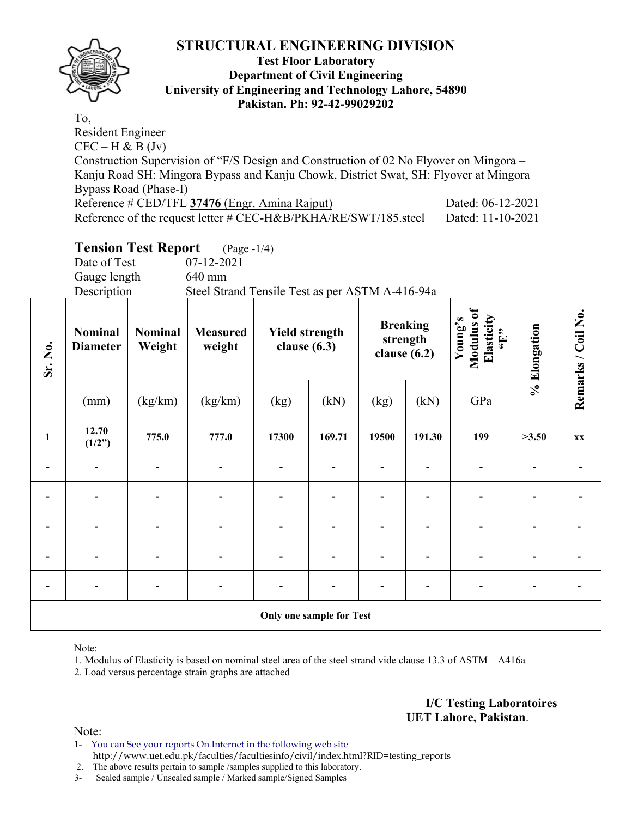

#### **Test Floor Laboratory Department of Civil Engineering University of Engineering and Technology Lahore, 54890 Pakistan. Ph: 92-42-99029202**

To, Resident Engineer  $CEC - H & B (Jv)$ Construction Supervision of "F/S Design and Construction of 02 No Flyover on Mingora – Kanju Road SH: Mingora Bypass and Kanju Chowk, District Swat, SH: Flyover at Mingora Bypass Road (Phase-I) Reference # CED/TFL **37476** (Engr. Amina Rajput) Dated: 06-12-2021 Reference of the request letter # CEC-H&B/PKHA/RE/SWT/185.steel Dated: 11-10-2021

# **Tension Test Report** (Page -1/4)

Date of Test 07-12-2021 Gauge length 640 mm Description Steel Strand Tensile Test as per ASTM A-416-94a

| Sr. No.                  | <b>Nominal</b><br><b>Diameter</b> | <b>Nominal</b><br>Weight | <b>Measured</b><br>weight | <b>Yield strength</b><br>clause $(6.3)$ |                                 | clause $(6.2)$ | <b>Breaking</b><br>strength | Modulus of<br>Elasticity<br>Young's<br>$\epsilon_{\rm H},$ | % Elongation | Remarks / Coil No. |
|--------------------------|-----------------------------------|--------------------------|---------------------------|-----------------------------------------|---------------------------------|----------------|-----------------------------|------------------------------------------------------------|--------------|--------------------|
|                          | (mm)                              | (kg/km)                  | (kg/km)                   | (kg)                                    | (kN)                            | (kg)           | (kN)                        | GPa                                                        |              |                    |
| $\mathbf{1}$             | 12.70<br>(1/2")                   | 775.0                    | 777.0                     | 17300                                   | 169.71                          | 19500          | 191.30                      | 199                                                        | >3.50        | <b>XX</b>          |
| -                        | $\overline{\phantom{0}}$          |                          | $\overline{a}$            | $\blacksquare$                          |                                 |                |                             |                                                            |              |                    |
|                          |                                   |                          |                           | $\blacksquare$                          |                                 |                |                             |                                                            |              |                    |
|                          |                                   |                          |                           |                                         |                                 |                |                             |                                                            |              |                    |
| $\overline{\phantom{0}}$ |                                   |                          | $\overline{a}$            | $\qquad \qquad \blacksquare$            |                                 |                |                             |                                                            |              |                    |
| $\overline{\phantom{0}}$ |                                   |                          | $\blacksquare$            | $\blacksquare$                          |                                 |                |                             |                                                            |              |                    |
|                          |                                   |                          |                           |                                         | <b>Only one sample for Test</b> |                |                             |                                                            |              |                    |

Note:

1. Modulus of Elasticity is based on nominal steel area of the steel strand vide clause 13.3 of ASTM – A416a

2. Load versus percentage strain graphs are attached

**I/C Testing Laboratoires UET Lahore, Pakistan**.

Note:

1- You can See your reports On Internet in the following web site http://www.uet.edu.pk/faculties/facultiesinfo/civil/index.html?RID=testing\_reports

2. The above results pertain to sample /samples supplied to this laboratory.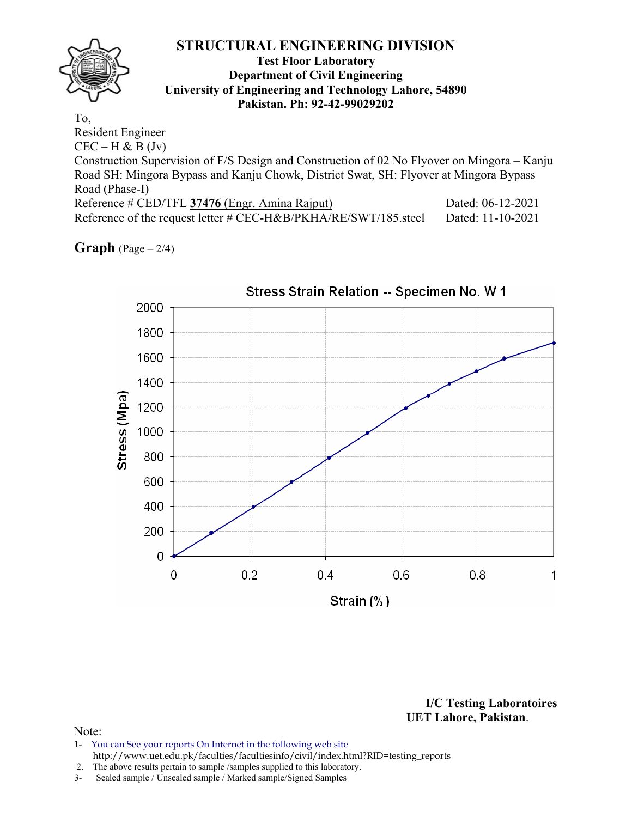

#### **Test Floor Laboratory Department of Civil Engineering University of Engineering and Technology Lahore, 54890 Pakistan. Ph: 92-42-99029202**

To, Resident Engineer  $CEC - H & B (Jv)$ Construction Supervision of F/S Design and Construction of 02 No Flyover on Mingora – Kanju Road SH: Mingora Bypass and Kanju Chowk, District Swat, SH: Flyover at Mingora Bypass Road (Phase-I) Reference # CED/TFL **37476** (Engr. Amina Rajput) Dated: 06-12-2021 Reference of the request letter # CEC-H&B/PKHA/RE/SWT/185.steel Dated: 11-10-2021

**Graph**  $(Page - 2/4)$ 



**I/C Testing Laboratoires UET Lahore, Pakistan**.

- 1- You can See your reports On Internet in the following web site http://www.uet.edu.pk/faculties/facultiesinfo/civil/index.html?RID=testing\_reports
- 2. The above results pertain to sample /samples supplied to this laboratory.
- 3- Sealed sample / Unsealed sample / Marked sample/Signed Samples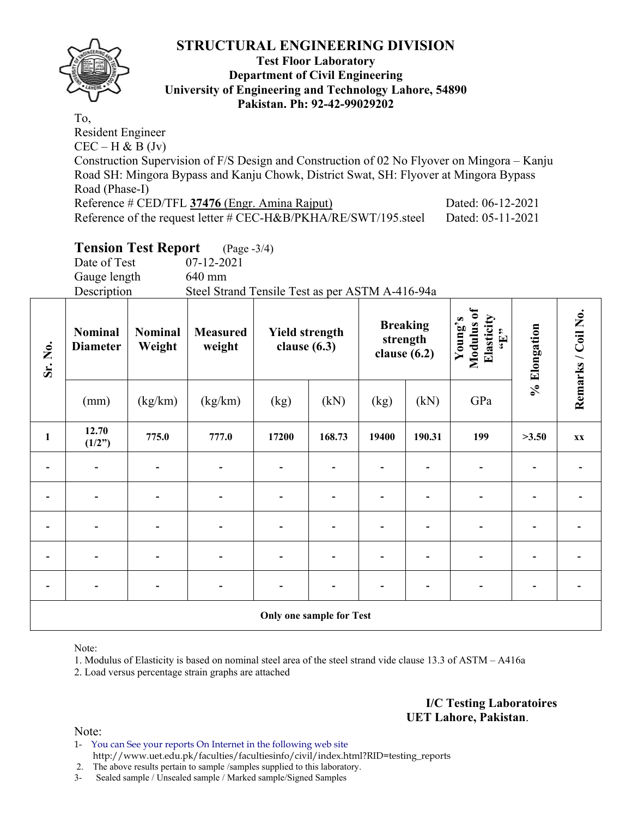

#### **Test Floor Laboratory Department of Civil Engineering University of Engineering and Technology Lahore, 54890 Pakistan. Ph: 92-42-99029202**

To, Resident Engineer  $CEC - H & B (Jv)$ Construction Supervision of F/S Design and Construction of 02 No Flyover on Mingora – Kanju Road SH: Mingora Bypass and Kanju Chowk, District Swat, SH: Flyover at Mingora Bypass Road (Phase-I) Reference # CED/TFL **37476** (Engr. Amina Rajput) Dated: 06-12-2021 Reference of the request letter # CEC-H&B/PKHA/RE/SWT/195.steel Dated: 05-11-2021

# **Tension Test Report** (Page -3/4)

Date of Test 07-12-2021 Gauge length 640 mm Description Steel Strand Tensile Test as per ASTM A-416-94a

| Sr. No.                      | Nominal<br><b>Diameter</b>   | Nominal<br>Weight | <b>Measured</b><br>weight | <b>Yield strength</b><br>clause $(6.3)$ |                          | clause $(6.2)$ | <b>Breaking</b><br>strength | Modulus of<br>Elasticity<br>Young's<br>$\epsilon$ . T., | % Elongation | Remarks / Coil No. |
|------------------------------|------------------------------|-------------------|---------------------------|-----------------------------------------|--------------------------|----------------|-----------------------------|---------------------------------------------------------|--------------|--------------------|
|                              | (mm)                         | (kg/km)           | (kg/km)                   | (kg)                                    | (kN)                     | (kg)           | (kN)                        | GPa                                                     |              |                    |
| $\mathbf{1}$                 | 12.70<br>(1/2")              | 775.0             | 777.0                     | 17200                                   | 168.73                   | 19400          | 190.31                      | 199                                                     | >3.50        | <b>XX</b>          |
|                              |                              |                   |                           | $\qquad \qquad \blacksquare$            |                          |                |                             |                                                         |              |                    |
|                              |                              |                   |                           |                                         |                          |                |                             |                                                         |              |                    |
|                              |                              |                   |                           |                                         |                          |                |                             |                                                         |              |                    |
| $\overline{a}$               |                              |                   |                           | $\overline{\phantom{0}}$                |                          |                |                             |                                                         |              |                    |
| $\qquad \qquad \blacksquare$ | $\qquad \qquad \blacksquare$ |                   | $\overline{\phantom{0}}$  |                                         |                          |                |                             | $\overline{\phantom{0}}$                                |              |                    |
|                              |                              |                   |                           |                                         | Only one sample for Test |                |                             |                                                         |              |                    |

Note:

1. Modulus of Elasticity is based on nominal steel area of the steel strand vide clause 13.3 of ASTM – A416a

2. Load versus percentage strain graphs are attached

#### **I/C Testing Laboratoires UET Lahore, Pakistan**.

- 1- You can See your reports On Internet in the following web site http://www.uet.edu.pk/faculties/facultiesinfo/civil/index.html?RID=testing\_reports
- 2. The above results pertain to sample /samples supplied to this laboratory.
- 3- Sealed sample / Unsealed sample / Marked sample/Signed Samples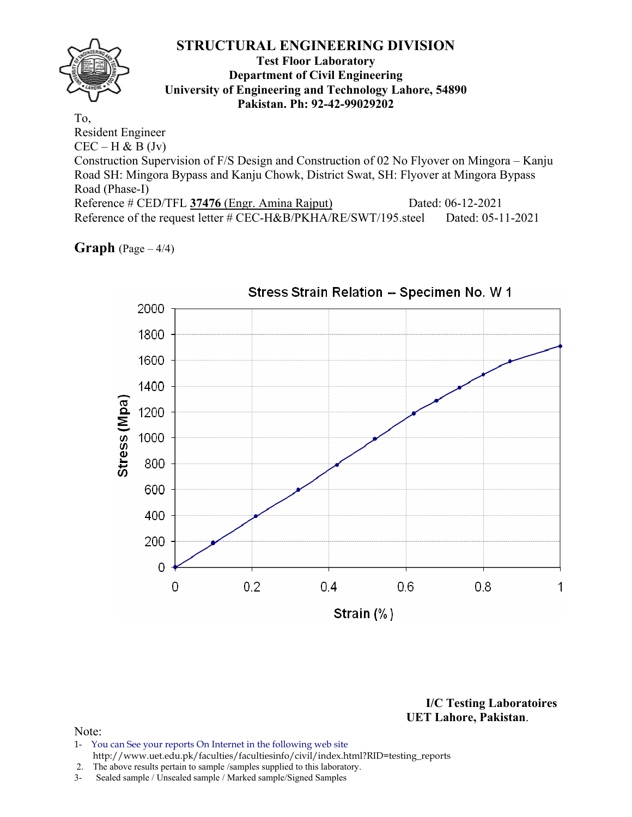#### **Test Floor Laboratory Department of Civil Engineering University of Engineering and Technology Lahore, 54890 Pakistan. Ph: 92-42-99029202**

To, Resident Engineer  $CEC - H & B (Jv)$ Construction Supervision of F/S Design and Construction of 02 No Flyover on Mingora – Kanju Road SH: Mingora Bypass and Kanju Chowk, District Swat, SH: Flyover at Mingora Bypass Road (Phase-I) Reference # CED/TFL **37476** (Engr. Amina Rajput) Dated: 06-12-2021 Reference of the request letter # CEC-H&B/PKHA/RE/SWT/195.steel Dated: 05-11-2021

**Graph**  $(Page - 4/4)$ 



**I/C Testing Laboratoires UET Lahore, Pakistan**.

- 1- You can See your reports On Internet in the following web site http://www.uet.edu.pk/faculties/facultiesinfo/civil/index.html?RID=testing\_reports
- 2. The above results pertain to sample /samples supplied to this laboratory.
- 3- Sealed sample / Unsealed sample / Marked sample/Signed Samples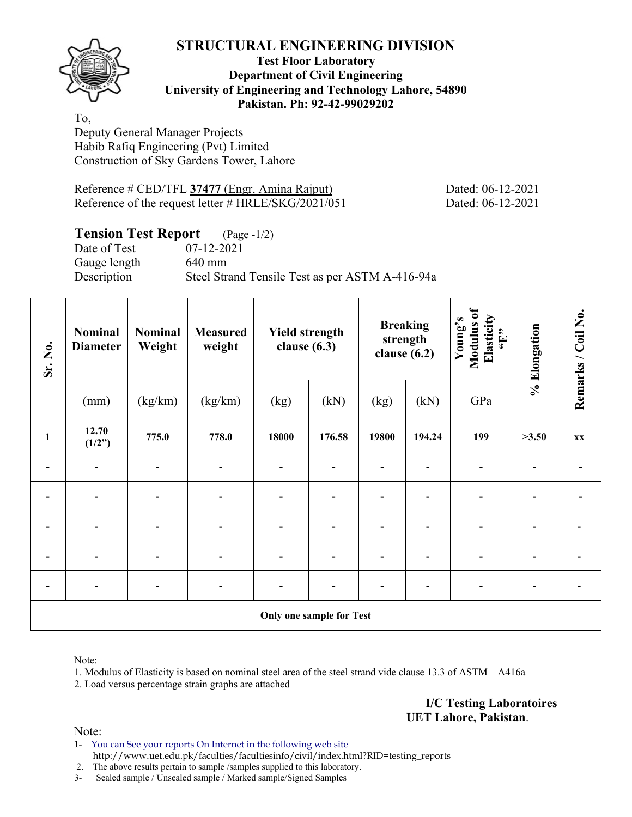

#### **Test Floor Laboratory Department of Civil Engineering University of Engineering and Technology Lahore, 54890 Pakistan. Ph: 92-42-99029202**

To, Deputy General Manager Projects Habib Rafiq Engineering (Pvt) Limited Construction of Sky Gardens Tower, Lahore

Reference # CED/TFL **37477** (Engr. Amina Rajput) Dated: 06-12-2021 Reference of the request letter # HRLE/SKG/2021/051 Dated: 06-12-2021

# **Tension Test Report** (Page -1/2)

Date of Test 07-12-2021 Gauge length 640 mm

Description Steel Strand Tensile Test as per ASTM A-416-94a

| Sr. No.        | <b>Nominal</b><br><b>Diameter</b> | <b>Nominal</b><br>Weight | <b>Measured</b><br>weight | <b>Yield strength</b><br>clause $(6.3)$<br>(kg)<br>(kN) |                                 |       | <b>Breaking</b><br>strength<br>clause $(6.2)$ | Modulus of<br>Elasticity<br>Young's<br>$\epsilon_{\rm H},$ | % Elongation | Remarks / Coil No. |
|----------------|-----------------------------------|--------------------------|---------------------------|---------------------------------------------------------|---------------------------------|-------|-----------------------------------------------|------------------------------------------------------------|--------------|--------------------|
|                | (mm)                              | (kg/km)                  | (kg/km)                   |                                                         |                                 | (kg)  | (kN)                                          | GPa                                                        |              |                    |
| $\mathbf{1}$   | 12.70<br>(1/2")                   | 775.0                    | 778.0                     | 18000                                                   | 176.58                          | 19800 | 194.24                                        | 199                                                        | >3.50        | XX                 |
|                |                                   |                          |                           |                                                         |                                 |       |                                               |                                                            |              |                    |
|                | $\overline{\phantom{a}}$          | $\overline{a}$           | $\overline{\phantom{0}}$  | $\qquad \qquad \blacksquare$                            |                                 |       |                                               |                                                            |              |                    |
| $\overline{a}$ | $\qquad \qquad \blacksquare$      |                          |                           | $\blacksquare$                                          |                                 |       |                                               |                                                            |              |                    |
|                |                                   |                          |                           | $\overline{a}$                                          |                                 |       |                                               |                                                            |              |                    |
|                |                                   |                          |                           |                                                         |                                 |       |                                               |                                                            |              |                    |
|                |                                   |                          |                           |                                                         | <b>Only one sample for Test</b> |       |                                               |                                                            |              |                    |

Note:

1. Modulus of Elasticity is based on nominal steel area of the steel strand vide clause 13.3 of ASTM – A416a

2. Load versus percentage strain graphs are attached

**I/C Testing Laboratoires UET Lahore, Pakistan**.

Note:

1- You can See your reports On Internet in the following web site http://www.uet.edu.pk/faculties/facultiesinfo/civil/index.html?RID=testing\_reports

2. The above results pertain to sample /samples supplied to this laboratory.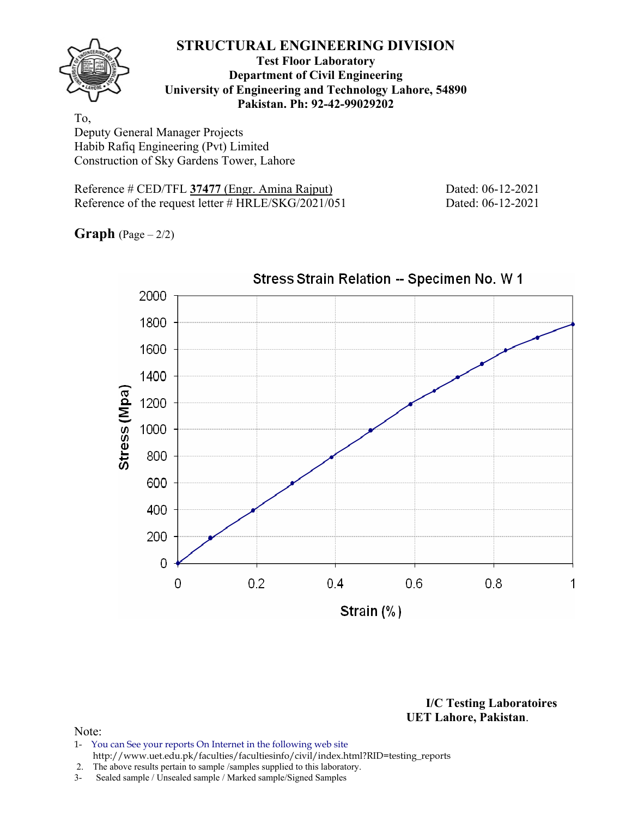

#### **Test Floor Laboratory Department of Civil Engineering University of Engineering and Technology Lahore, 54890 Pakistan. Ph: 92-42-99029202**

To, Deputy General Manager Projects Habib Rafiq Engineering (Pvt) Limited Construction of Sky Gardens Tower, Lahore

Reference # CED/TFL 37477 (Engr. Amina Rajput) Dated: 06-12-2021 Reference of the request letter # HRLE/SKG/2021/051 Dated: 06-12-2021

**Graph**  $(Page - 2/2)$ 



Stress Strain Relation -- Specimen No. W 1

**I/C Testing Laboratoires UET Lahore, Pakistan**.

- 1- You can See your reports On Internet in the following web site http://www.uet.edu.pk/faculties/facultiesinfo/civil/index.html?RID=testing\_reports
- 2. The above results pertain to sample /samples supplied to this laboratory.
- 3- Sealed sample / Unsealed sample / Marked sample/Signed Samples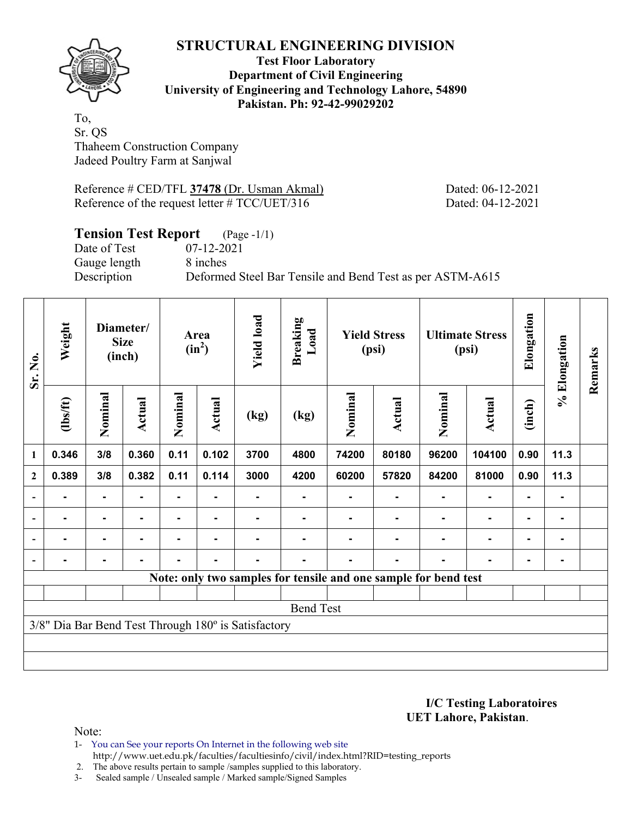

#### **Test Floor Laboratory Department of Civil Engineering University of Engineering and Technology Lahore, 54890 Pakistan. Ph: 92-42-99029202**

To, Sr. QS Thaheem Construction Company Jadeed Poultry Farm at Sanjwal

Reference # CED/TFL **37478** (Dr. Usman Akmal) Dated: 06-12-2021 Reference of the request letter # TCC/UET/316 Dated: 04-12-2021

# **Tension Test Report** (Page -1/1)

Date of Test 07-12-2021 Gauge length 8 inches

Description Deformed Steel Bar Tensile and Bend Test as per ASTM-A615

| Sr. No.                  | Weight   |                | Diameter/<br><b>Size</b><br>(inch) |         | Area<br>$(in^2)$ | <b>Yield load</b>                                   | <b>Breaking</b><br>Load |                | <b>Yield Stress</b><br>(psi)                                    |                | <b>Ultimate Stress</b><br>(psi) | Elongation     | % Elongation   | Remarks |
|--------------------------|----------|----------------|------------------------------------|---------|------------------|-----------------------------------------------------|-------------------------|----------------|-----------------------------------------------------------------|----------------|---------------------------------|----------------|----------------|---------|
|                          | (1bs/ft) | Nominal        | Actual                             | Nominal | Actual           | (kg)                                                | (kg)                    | Nominal        | <b>Actual</b>                                                   | Nominal        | <b>Actual</b>                   | (inch)         |                |         |
| $\mathbf{1}$             | 0.346    | 3/8            | 0.360                              | 0.11    | 0.102            | 3700                                                | 4800                    | 74200          | 80180                                                           | 96200          | 104100                          | 0.90           | 11.3           |         |
| $\mathbf{2}$             | 0.389    | 3/8            | 0.382                              | 0.11    | 0.114            | 3000                                                | 4200                    | 60200          | 57820                                                           | 84200          | 81000                           | 0.90           | 11.3           |         |
| $\overline{\phantom{a}}$ | ۰        | $\blacksquare$ |                                    | ۰       |                  |                                                     |                         |                |                                                                 |                | $\blacksquare$                  | $\blacksquare$ | $\blacksquare$ |         |
| $\overline{\phantom{a}}$ |          | $\blacksquare$ |                                    |         | ۰                |                                                     |                         |                |                                                                 |                | ٠                               | $\blacksquare$ | $\blacksquare$ |         |
| $\overline{\phantom{a}}$ | ۰        | $\blacksquare$ | ۰.                                 | Ξ.      | ٠                |                                                     | $\blacksquare$          | $\blacksquare$ |                                                                 | $\blacksquare$ | $\blacksquare$                  | $\blacksquare$ | $\blacksquare$ |         |
|                          |          | ۰              | $\blacksquare$                     | ۰       | $\blacksquare$   |                                                     |                         | $\blacksquare$ |                                                                 | ۰              | $\blacksquare$                  | $\blacksquare$ | $\blacksquare$ |         |
|                          |          |                |                                    |         |                  |                                                     |                         |                | Note: only two samples for tensile and one sample for bend test |                |                                 |                |                |         |
|                          |          |                |                                    |         |                  |                                                     |                         |                |                                                                 |                |                                 |                |                |         |
|                          |          |                |                                    |         |                  |                                                     | <b>Bend Test</b>        |                |                                                                 |                |                                 |                |                |         |
|                          |          |                |                                    |         |                  | 3/8" Dia Bar Bend Test Through 180° is Satisfactory |                         |                |                                                                 |                |                                 |                |                |         |
|                          |          |                |                                    |         |                  |                                                     |                         |                |                                                                 |                |                                 |                |                |         |
|                          |          |                |                                    |         |                  |                                                     |                         |                |                                                                 |                |                                 |                |                |         |

**I/C Testing Laboratoires UET Lahore, Pakistan**.

Note:

1- You can See your reports On Internet in the following web site http://www.uet.edu.pk/faculties/facultiesinfo/civil/index.html?RID=testing\_reports

2. The above results pertain to sample /samples supplied to this laboratory.